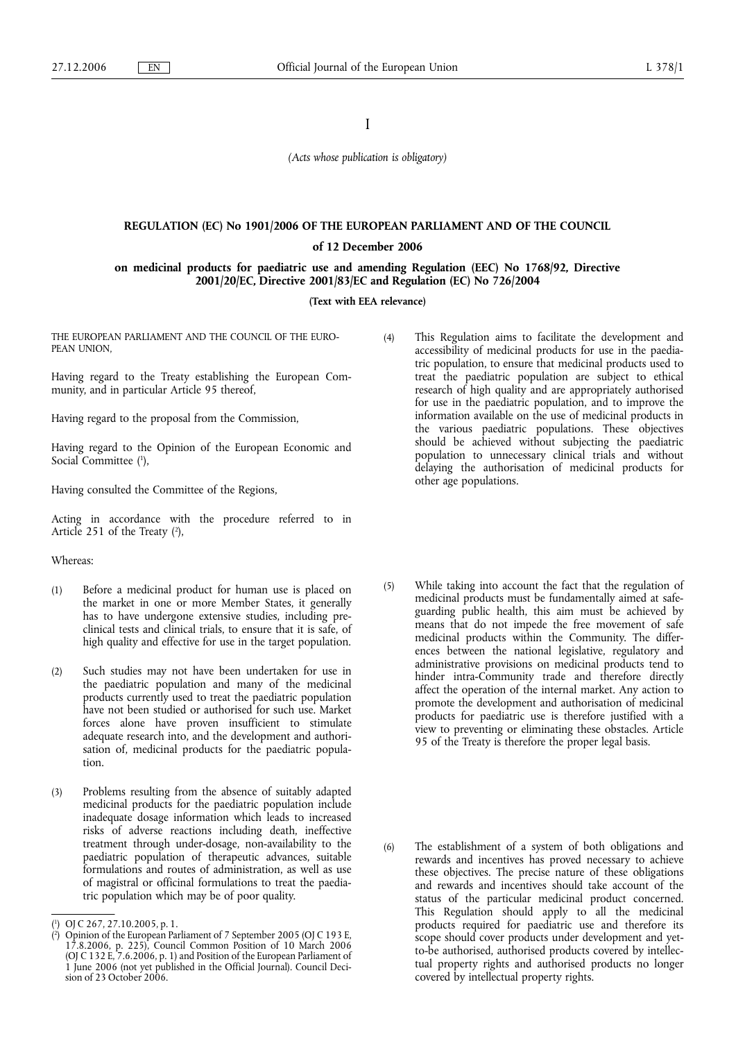I

*(Acts whose publication is obligatory)*

# **REGULATION (EC) No 1901/2006 OF THE EUROPEAN PARLIAMENT AND OF THE COUNCIL of 12 December 2006**

**on medicinal products for paediatric use and amending Regulation (EEC) No 1768/92, Directive 2001/20/EC, Directive 2001/83/EC and Regulation (EC) No 726/2004**

# **(Text with EEA relevance)**

THE EUROPEAN PARLIAMENT AND THE COUNCIL OF THE EURO-PEAN UNION,

Having regard to the Treaty establishing the European Community, and in particular Article 95 thereof,

Having regard to the proposal from the Commission,

Having regard to the Opinion of the European Economic and Social Committee (<sup>1</sup>),

Having consulted the Committee of the Regions,

Acting in accordance with the procedure referred to in Article  $251$  of the Treaty  $(2)$ ,

Whereas:

- (1) Before a medicinal product for human use is placed on the market in one or more Member States, it generally has to have undergone extensive studies, including preclinical tests and clinical trials, to ensure that it is safe, of high quality and effective for use in the target population.
- (2) Such studies may not have been undertaken for use in the paediatric population and many of the medicinal products currently used to treat the paediatric population have not been studied or authorised for such use. Market forces alone have proven insufficient to stimulate adequate research into, and the development and authorisation of, medicinal products for the paediatric population.
- (3) Problems resulting from the absence of suitably adapted medicinal products for the paediatric population include inadequate dosage information which leads to increased risks of adverse reactions including death, ineffective treatment through under-dosage, non-availability to the paediatric population of therapeutic advances, suitable formulations and routes of administration, as well as use of magistral or officinal formulations to treat the paediatric population which may be of poor quality.
- (4) This Regulation aims to facilitate the development and accessibility of medicinal products for use in the paediatric population, to ensure that medicinal products used to treat the paediatric population are subject to ethical research of high quality and are appropriately authorised for use in the paediatric population, and to improve the information available on the use of medicinal products in the various paediatric populations. These objectives should be achieved without subjecting the paediatric population to unnecessary clinical trials and without delaying the authorisation of medicinal products for other age populations.
- (5) While taking into account the fact that the regulation of medicinal products must be fundamentally aimed at safeguarding public health, this aim must be achieved by means that do not impede the free movement of safe medicinal products within the Community. The differences between the national legislative, regulatory and administrative provisions on medicinal products tend to hinder intra-Community trade and therefore directly affect the operation of the internal market. Any action to promote the development and authorisation of medicinal products for paediatric use is therefore justified with a view to preventing or eliminating these obstacles. Article 95 of the Treaty is therefore the proper legal basis.
- (6) The establishment of a system of both obligations and rewards and incentives has proved necessary to achieve these objectives. The precise nature of these obligations and rewards and incentives should take account of the status of the particular medicinal product concerned. This Regulation should apply to all the medicinal products required for paediatric use and therefore its scope should cover products under development and yetto-be authorised, authorised products covered by intellectual property rights and authorised products no longer covered by intellectual property rights.

<sup>(</sup> 1 ) OJ C 267, 27.10.2005, p. 1.

<sup>(</sup> 2 ) Opinion of the European Parliament of 7 September 2005 (OJ C 193 E, 17.8.2006, p. 225), Council Common Position of 10 March 2006 (OJ C 132 E, 7.6.2006, p. 1) and Position of the European Parliament of 1 June 2006 (not yet published in the Official Journal). Council Decision of 23 October 2006.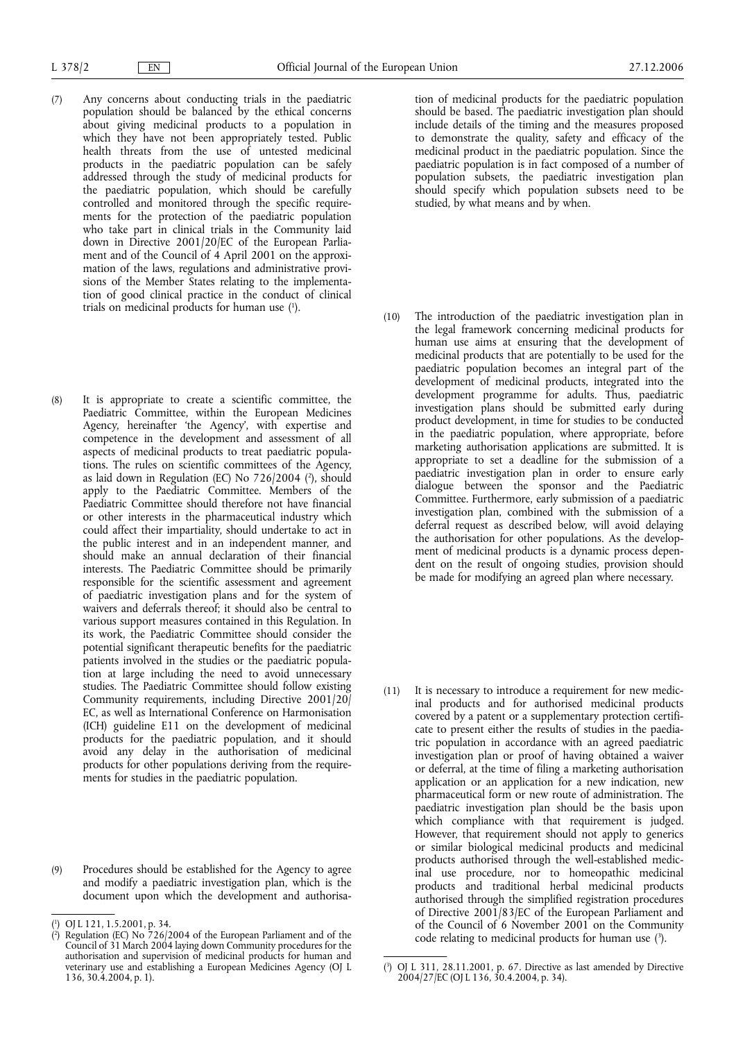- (7) Any concerns about conducting trials in the paediatric population should be balanced by the ethical concerns about giving medicinal products to a population in which they have not been appropriately tested. Public health threats from the use of untested medicinal products in the paediatric population can be safely addressed through the study of medicinal products for the paediatric population, which should be carefully controlled and monitored through the specific requirements for the protection of the paediatric population who take part in clinical trials in the Community laid down in Directive 2001/20/EC of the European Parliament and of the Council of 4 April 2001 on the approximation of the laws, regulations and administrative provisions of the Member States relating to the implementation of good clinical practice in the conduct of clinical trials on medicinal products for human use (1 ).
- (8) It is appropriate to create a scientific committee, the Paediatric Committee, within the European Medicines Agency, hereinafter 'the Agency', with expertise and competence in the development and assessment of all aspects of medicinal products to treat paediatric populations. The rules on scientific committees of the Agency, as laid down in Regulation (EC) No 726/2004 (?), should apply to the Paediatric Committee. Members of the Paediatric Committee should therefore not have financial or other interests in the pharmaceutical industry which could affect their impartiality, should undertake to act in the public interest and in an independent manner, and should make an annual declaration of their financial interests. The Paediatric Committee should be primarily responsible for the scientific assessment and agreement of paediatric investigation plans and for the system of waivers and deferrals thereof; it should also be central to various support measures contained in this Regulation. In its work, the Paediatric Committee should consider the potential significant therapeutic benefits for the paediatric patients involved in the studies or the paediatric population at large including the need to avoid unnecessary studies. The Paediatric Committee should follow existing Community requirements, including Directive 2001/20/ EC, as well as International Conference on Harmonisation (ICH) guideline E11 on the development of medicinal products for the paediatric population, and it should avoid any delay in the authorisation of medicinal products for other populations deriving from the requirements for studies in the paediatric population.
- (9) Procedures should be established for the Agency to agree and modify a paediatric investigation plan, which is the document upon which the development and authorisa-

tion of medicinal products for the paediatric population should be based. The paediatric investigation plan should include details of the timing and the measures proposed to demonstrate the quality, safety and efficacy of the medicinal product in the paediatric population. Since the paediatric population is in fact composed of a number of population subsets, the paediatric investigation plan should specify which population subsets need to be studied, by what means and by when.

- (10) The introduction of the paediatric investigation plan in the legal framework concerning medicinal products for human use aims at ensuring that the development of medicinal products that are potentially to be used for the paediatric population becomes an integral part of the development of medicinal products, integrated into the development programme for adults. Thus, paediatric investigation plans should be submitted early during product development, in time for studies to be conducted in the paediatric population, where appropriate, before marketing authorisation applications are submitted. It is appropriate to set a deadline for the submission of a paediatric investigation plan in order to ensure early dialogue between the sponsor and the Paediatric Committee. Furthermore, early submission of a paediatric investigation plan, combined with the submission of a deferral request as described below, will avoid delaying the authorisation for other populations. As the development of medicinal products is a dynamic process dependent on the result of ongoing studies, provision should be made for modifying an agreed plan where necessary.
- (11) It is necessary to introduce a requirement for new medicinal products and for authorised medicinal products covered by a patent or a supplementary protection certificate to present either the results of studies in the paediatric population in accordance with an agreed paediatric investigation plan or proof of having obtained a waiver or deferral, at the time of filing a marketing authorisation application or an application for a new indication, new pharmaceutical form or new route of administration. The paediatric investigation plan should be the basis upon which compliance with that requirement is judged. However, that requirement should not apply to generics or similar biological medicinal products and medicinal products authorised through the well-established medicinal use procedure, nor to homeopathic medicinal products and traditional herbal medicinal products authorised through the simplified registration procedures of Directive 2001/83/EC of the European Parliament and of the Council of 6 November 2001 on the Community code relating to medicinal products for human use (3).

<sup>(&</sup>lt;sup>1</sup>) OJ L 121, 1.5.2001, p. 34.<br>(<sup>2</sup>) Regulation (EC) No. 726/2

<sup>(</sup> ) Regulation (EC) No 726/2004 of the European Parliament and of the Council of 31 March 2004 laying down Community procedures for the authorisation and supervision of medicinal products for human and veterinary use and establishing a European Medicines Agency (OJ L 136, 30.4.2004, p. 1).

<sup>(</sup> 3 ) OJ L 311, 28.11.2001, p. 67. Directive as last amended by Directive 2004/27/EC (OJ L 136, 30.4.2004, p. 34).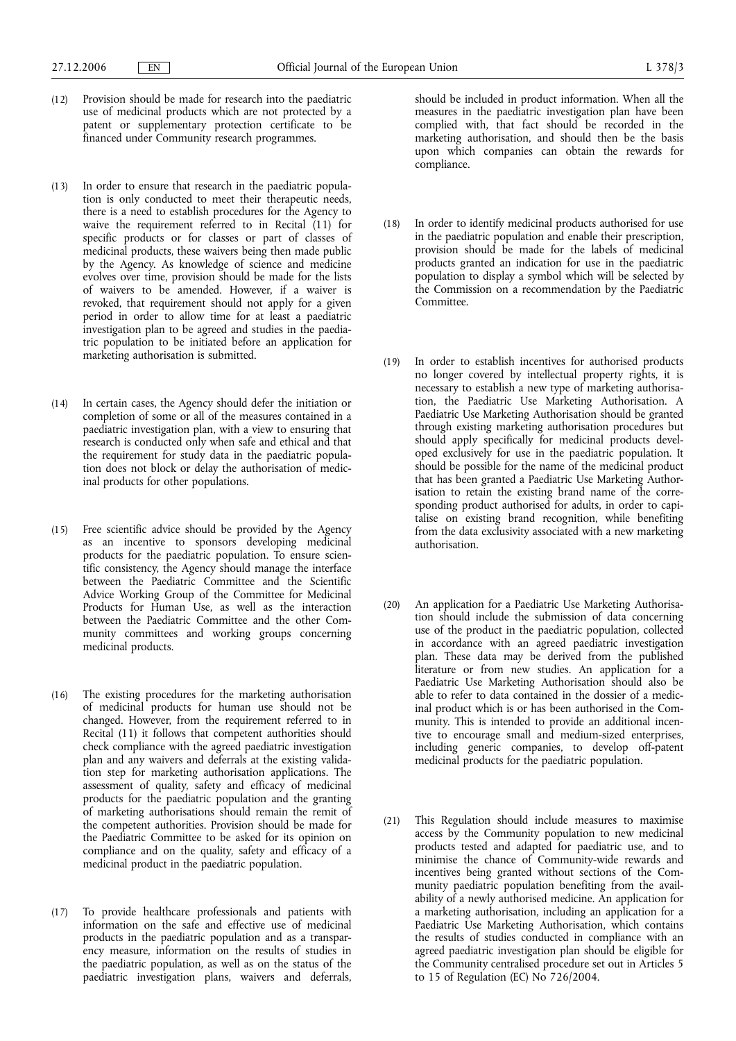- (12) Provision should be made for research into the paediatric use of medicinal products which are not protected by a patent or supplementary protection certificate to be financed under Community research programmes.
- (13) In order to ensure that research in the paediatric population is only conducted to meet their therapeutic needs, there is a need to establish procedures for the Agency to waive the requirement referred to in Recital (11) for specific products or for classes or part of classes of medicinal products, these waivers being then made public by the Agency. As knowledge of science and medicine evolves over time, provision should be made for the lists of waivers to be amended. However, if a waiver is revoked, that requirement should not apply for a given period in order to allow time for at least a paediatric investigation plan to be agreed and studies in the paediatric population to be initiated before an application for marketing authorisation is submitted.
- (14) In certain cases, the Agency should defer the initiation or completion of some or all of the measures contained in a paediatric investigation plan, with a view to ensuring that research is conducted only when safe and ethical and that the requirement for study data in the paediatric population does not block or delay the authorisation of medicinal products for other populations.
- (15) Free scientific advice should be provided by the Agency as an incentive to sponsors developing medicinal products for the paediatric population. To ensure scientific consistency, the Agency should manage the interface between the Paediatric Committee and the Scientific Advice Working Group of the Committee for Medicinal Products for Human Use, as well as the interaction between the Paediatric Committee and the other Community committees and working groups concerning medicinal products.
- (16) The existing procedures for the marketing authorisation of medicinal products for human use should not be changed. However, from the requirement referred to in Recital (11) it follows that competent authorities should check compliance with the agreed paediatric investigation plan and any waivers and deferrals at the existing validation step for marketing authorisation applications. The assessment of quality, safety and efficacy of medicinal products for the paediatric population and the granting of marketing authorisations should remain the remit of the competent authorities. Provision should be made for the Paediatric Committee to be asked for its opinion on compliance and on the quality, safety and efficacy of a medicinal product in the paediatric population.
- (17) To provide healthcare professionals and patients with information on the safe and effective use of medicinal products in the paediatric population and as a transparency measure, information on the results of studies in the paediatric population, as well as on the status of the paediatric investigation plans, waivers and deferrals,

should be included in product information. When all the measures in the paediatric investigation plan have been complied with, that fact should be recorded in the marketing authorisation, and should then be the basis upon which companies can obtain the rewards for compliance.

- (18) In order to identify medicinal products authorised for use in the paediatric population and enable their prescription, provision should be made for the labels of medicinal products granted an indication for use in the paediatric population to display a symbol which will be selected by the Commission on a recommendation by the Paediatric Committee.
- (19) In order to establish incentives for authorised products no longer covered by intellectual property rights, it is necessary to establish a new type of marketing authorisation, the Paediatric Use Marketing Authorisation. A Paediatric Use Marketing Authorisation should be granted through existing marketing authorisation procedures but should apply specifically for medicinal products developed exclusively for use in the paediatric population. It should be possible for the name of the medicinal product that has been granted a Paediatric Use Marketing Authorisation to retain the existing brand name of the corresponding product authorised for adults, in order to capitalise on existing brand recognition, while benefiting from the data exclusivity associated with a new marketing authorisation.
- (20) An application for a Paediatric Use Marketing Authorisation should include the submission of data concerning use of the product in the paediatric population, collected in accordance with an agreed paediatric investigation plan. These data may be derived from the published literature or from new studies. An application for a Paediatric Use Marketing Authorisation should also be able to refer to data contained in the dossier of a medicinal product which is or has been authorised in the Community. This is intended to provide an additional incentive to encourage small and medium-sized enterprises, including generic companies, to develop off-patent medicinal products for the paediatric population.
- (21) This Regulation should include measures to maximise access by the Community population to new medicinal products tested and adapted for paediatric use, and to minimise the chance of Community-wide rewards and incentives being granted without sections of the Community paediatric population benefiting from the availability of a newly authorised medicine. An application for a marketing authorisation, including an application for a Paediatric Use Marketing Authorisation, which contains the results of studies conducted in compliance with an agreed paediatric investigation plan should be eligible for the Community centralised procedure set out in Articles 5 to 15 of Regulation (EC) No 726/2004.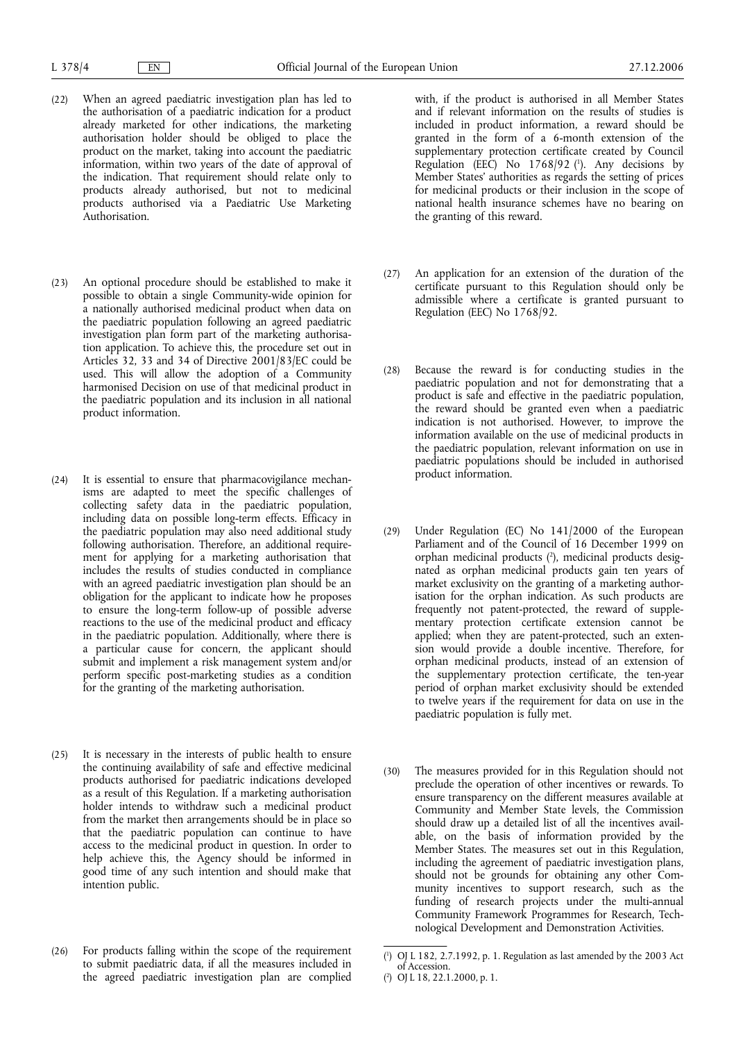- (22) When an agreed paediatric investigation plan has led to the authorisation of a paediatric indication for a product already marketed for other indications, the marketing authorisation holder should be obliged to place the product on the market, taking into account the paediatric information, within two years of the date of approval of the indication. That requirement should relate only to products already authorised, but not to medicinal products authorised via a Paediatric Use Marketing Authorisation.
- (23) An optional procedure should be established to make it possible to obtain a single Community-wide opinion for a nationally authorised medicinal product when data on the paediatric population following an agreed paediatric investigation plan form part of the marketing authorisation application. To achieve this, the procedure set out in Articles 32, 33 and 34 of Directive 2001/83/EC could be used. This will allow the adoption of a Community harmonised Decision on use of that medicinal product in the paediatric population and its inclusion in all national product information.
- (24) It is essential to ensure that pharmacovigilance mechanisms are adapted to meet the specific challenges of collecting safety data in the paediatric population, including data on possible long-term effects. Efficacy in the paediatric population may also need additional study following authorisation. Therefore, an additional requirement for applying for a marketing authorisation that includes the results of studies conducted in compliance with an agreed paediatric investigation plan should be an obligation for the applicant to indicate how he proposes to ensure the long-term follow-up of possible adverse reactions to the use of the medicinal product and efficacy in the paediatric population. Additionally, where there is a particular cause for concern, the applicant should submit and implement a risk management system and/or perform specific post-marketing studies as a condition for the granting of the marketing authorisation.
- (25) It is necessary in the interests of public health to ensure the continuing availability of safe and effective medicinal products authorised for paediatric indications developed as a result of this Regulation. If a marketing authorisation holder intends to withdraw such a medicinal product from the market then arrangements should be in place so that the paediatric population can continue to have access to the medicinal product in question. In order to help achieve this, the Agency should be informed in good time of any such intention and should make that intention public.
- (26) For products falling within the scope of the requirement to submit paediatric data, if all the measures included in the agreed paediatric investigation plan are complied

with, if the product is authorised in all Member States and if relevant information on the results of studies is included in product information, a reward should be granted in the form of a 6-month extension of the supplementary protection certificate created by Council Regulation (EEC) No 1768/92 (1). Any decisions by Member States' authorities as regards the setting of prices for medicinal products or their inclusion in the scope of national health insurance schemes have no bearing on the granting of this reward.

- (27) An application for an extension of the duration of the certificate pursuant to this Regulation should only be admissible where a certificate is granted pursuant to Regulation (EEC) No 1768/92.
- (28) Because the reward is for conducting studies in the paediatric population and not for demonstrating that a product is safe and effective in the paediatric population, the reward should be granted even when a paediatric indication is not authorised. However, to improve the information available on the use of medicinal products in the paediatric population, relevant information on use in paediatric populations should be included in authorised product information.
- (29) Under Regulation (EC) No 141/2000 of the European Parliament and of the Council of 16 December 1999 on orphan medicinal products (2), medicinal products designated as orphan medicinal products gain ten years of market exclusivity on the granting of a marketing authorisation for the orphan indication. As such products are frequently not patent-protected, the reward of supplementary protection certificate extension cannot be applied; when they are patent-protected, such an extension would provide a double incentive. Therefore, for orphan medicinal products, instead of an extension of the supplementary protection certificate, the ten-year period of orphan market exclusivity should be extended to twelve years if the requirement for data on use in the paediatric population is fully met.
- (30) The measures provided for in this Regulation should not preclude the operation of other incentives or rewards. To ensure transparency on the different measures available at Community and Member State levels, the Commission should draw up a detailed list of all the incentives available, on the basis of information provided by the Member States. The measures set out in this Regulation, including the agreement of paediatric investigation plans, should not be grounds for obtaining any other Community incentives to support research, such as the funding of research projects under the multi-annual Community Framework Programmes for Research, Technological Development and Demonstration Activities.

 $($ <sup>1</sup> ) OJ L 182, 2.7.1992, p. 1. Regulation as last amended by the 2003 Act of Accession.

<sup>(</sup> 2 ) OJ L 18, 22.1.2000, p. 1.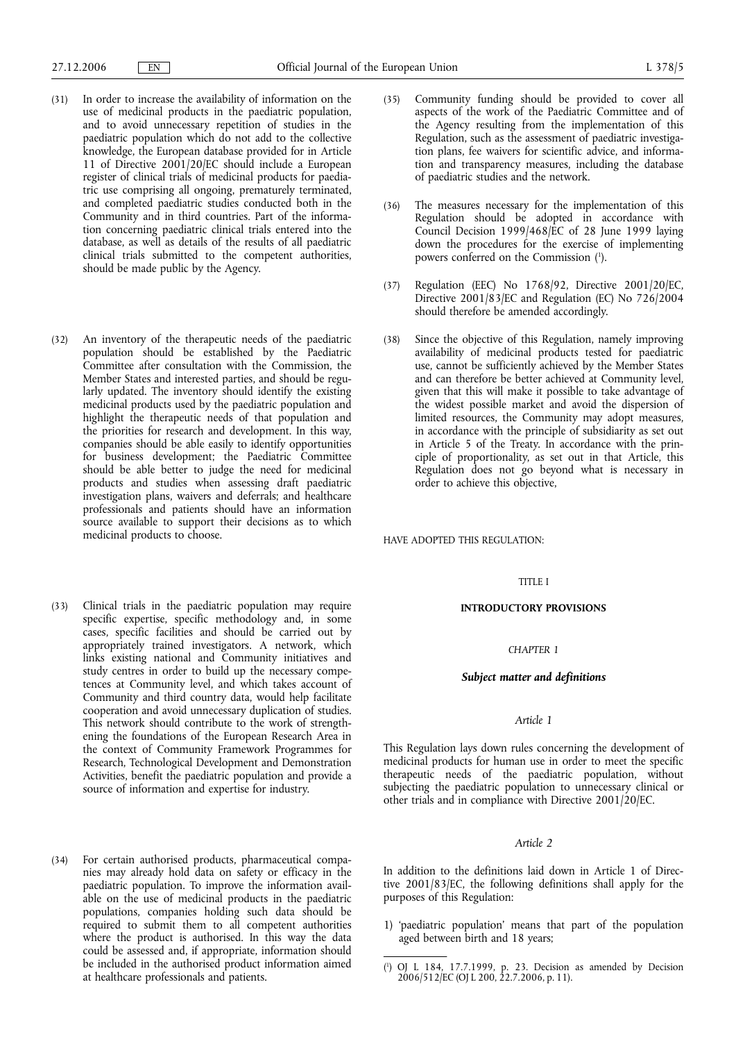- (31) In order to increase the availability of information on the use of medicinal products in the paediatric population, and to avoid unnecessary repetition of studies in the paediatric population which do not add to the collective knowledge, the European database provided for in Article 11 of Directive 2001/20/EC should include a European register of clinical trials of medicinal products for paediatric use comprising all ongoing, prematurely terminated, and completed paediatric studies conducted both in the Community and in third countries. Part of the information concerning paediatric clinical trials entered into the database, as well as details of the results of all paediatric clinical trials submitted to the competent authorities, should be made public by the Agency.
- (32) An inventory of the therapeutic needs of the paediatric population should be established by the Paediatric Committee after consultation with the Commission, the Member States and interested parties, and should be regularly updated. The inventory should identify the existing medicinal products used by the paediatric population and highlight the therapeutic needs of that population and the priorities for research and development. In this way, companies should be able easily to identify opportunities for business development; the Paediatric Committee should be able better to judge the need for medicinal products and studies when assessing draft paediatric investigation plans, waivers and deferrals; and healthcare professionals and patients should have an information source available to support their decisions as to which medicinal products to choose.
- (33) Clinical trials in the paediatric population may require specific expertise, specific methodology and, in some cases, specific facilities and should be carried out by appropriately trained investigators. A network, which links existing national and Community initiatives and study centres in order to build up the necessary competences at Community level, and which takes account of Community and third country data, would help facilitate cooperation and avoid unnecessary duplication of studies. This network should contribute to the work of strengthening the foundations of the European Research Area in the context of Community Framework Programmes for Research, Technological Development and Demonstration Activities, benefit the paediatric population and provide a source of information and expertise for industry.
- (34) For certain authorised products, pharmaceutical companies may already hold data on safety or efficacy in the paediatric population. To improve the information available on the use of medicinal products in the paediatric populations, companies holding such data should be required to submit them to all competent authorities where the product is authorised. In this way the data could be assessed and, if appropriate, information should be included in the authorised product information aimed at healthcare professionals and patients.
- (35) Community funding should be provided to cover all aspects of the work of the Paediatric Committee and of the Agency resulting from the implementation of this Regulation, such as the assessment of paediatric investigation plans, fee waivers for scientific advice, and information and transparency measures, including the database of paediatric studies and the network.
- (36) The measures necessary for the implementation of this Regulation should be adopted in accordance with Council Decision 1999/468/EC of 28 June 1999 laying down the procedures for the exercise of implementing powers conferred on the Commission (1 ).
- (37) Regulation (EEC) No 1768/92, Directive 2001/20/EC, Directive 2001/83/EC and Regulation (EC) No 726/2004 should therefore be amended accordingly.
- (38) Since the objective of this Regulation, namely improving availability of medicinal products tested for paediatric use, cannot be sufficiently achieved by the Member States and can therefore be better achieved at Community level, given that this will make it possible to take advantage of the widest possible market and avoid the dispersion of limited resources, the Community may adopt measures, in accordance with the principle of subsidiarity as set out in Article 5 of the Treaty. In accordance with the principle of proportionality, as set out in that Article, this Regulation does not go beyond what is necessary in order to achieve this objective,

HAVE ADOPTED THIS REGULATION:

## TITLE I

#### **INTRODUCTORY PROVISIONS**

#### *CHAPTER 1*

# *Subject matter and definitions*

#### *Article 1*

This Regulation lays down rules concerning the development of medicinal products for human use in order to meet the specific therapeutic needs of the paediatric population, without subjecting the paediatric population to unnecessary clinical or other trials and in compliance with Directive 2001/20/EC.

### *Article 2*

In addition to the definitions laid down in Article 1 of Directive 2001/83/EC, the following definitions shall apply for the purposes of this Regulation:

1) 'paediatric population' means that part of the population aged between birth and 18 years;

<sup>(</sup> 1 ) OJ L 184, 17.7.1999, p. 23. Decision as amended by Decision 2006/512/EC (OJ L 200, 22.7.2006, p. 11).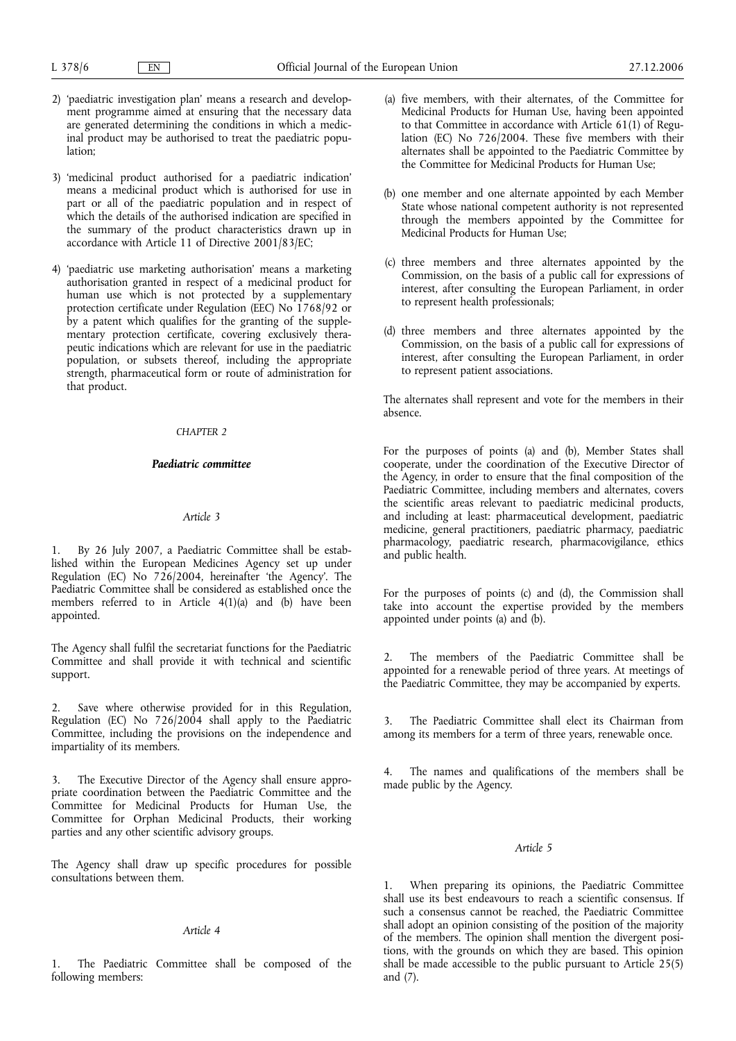- 2) 'paediatric investigation plan' means a research and development programme aimed at ensuring that the necessary data are generated determining the conditions in which a medicinal product may be authorised to treat the paediatric population;
- 3) 'medicinal product authorised for a paediatric indication' means a medicinal product which is authorised for use in part or all of the paediatric population and in respect of which the details of the authorised indication are specified in the summary of the product characteristics drawn up in accordance with Article 11 of Directive 2001/83/EC;
- 4) 'paediatric use marketing authorisation' means a marketing authorisation granted in respect of a medicinal product for human use which is not protected by a supplementary protection certificate under Regulation (EEC) No 1768/92 or by a patent which qualifies for the granting of the supplementary protection certificate, covering exclusively therapeutic indications which are relevant for use in the paediatric population, or subsets thereof, including the appropriate strength, pharmaceutical form or route of administration for that product.

# *CHAPTER 2*

### *Paediatric committee*

# *Article 3*

1. By 26 July 2007, a Paediatric Committee shall be established within the European Medicines Agency set up under Regulation (EC) No 726/2004, hereinafter 'the Agency'. The Paediatric Committee shall be considered as established once the members referred to in Article 4(1)(a) and (b) have been appointed.

The Agency shall fulfil the secretariat functions for the Paediatric Committee and shall provide it with technical and scientific support.

2. Save where otherwise provided for in this Regulation, Regulation (EC) No 726/2004 shall apply to the Paediatric Committee, including the provisions on the independence and impartiality of its members.

3. The Executive Director of the Agency shall ensure appropriate coordination between the Paediatric Committee and the Committee for Medicinal Products for Human Use, the Committee for Orphan Medicinal Products, their working parties and any other scientific advisory groups.

The Agency shall draw up specific procedures for possible consultations between them.

## *Article 4*

The Paediatric Committee shall be composed of the following members:

- (a) five members, with their alternates, of the Committee for Medicinal Products for Human Use, having been appointed to that Committee in accordance with Article 61(1) of Regulation (EC) No 726/2004. These five members with their alternates shall be appointed to the Paediatric Committee by the Committee for Medicinal Products for Human Use;
- (b) one member and one alternate appointed by each Member State whose national competent authority is not represented through the members appointed by the Committee for Medicinal Products for Human Use;
- (c) three members and three alternates appointed by the Commission, on the basis of a public call for expressions of interest, after consulting the European Parliament, in order to represent health professionals;
- (d) three members and three alternates appointed by the Commission, on the basis of a public call for expressions of interest, after consulting the European Parliament, in order to represent patient associations.

The alternates shall represent and vote for the members in their absence.

For the purposes of points (a) and (b), Member States shall cooperate, under the coordination of the Executive Director of the Agency, in order to ensure that the final composition of the Paediatric Committee, including members and alternates, covers the scientific areas relevant to paediatric medicinal products, and including at least: pharmaceutical development, paediatric medicine, general practitioners, paediatric pharmacy, paediatric pharmacology, paediatric research, pharmacovigilance, ethics and public health.

For the purposes of points (c) and (d), the Commission shall take into account the expertise provided by the members appointed under points (a) and (b).

2. The members of the Paediatric Committee shall be appointed for a renewable period of three years. At meetings of the Paediatric Committee, they may be accompanied by experts.

3. The Paediatric Committee shall elect its Chairman from among its members for a term of three years, renewable once.

4. The names and qualifications of the members shall be made public by the Agency.

# *Article 5*

1. When preparing its opinions, the Paediatric Committee shall use its best endeavours to reach a scientific consensus. If such a consensus cannot be reached, the Paediatric Committee shall adopt an opinion consisting of the position of the majority of the members. The opinion shall mention the divergent positions, with the grounds on which they are based. This opinion shall be made accessible to the public pursuant to Article 25(5) and (7).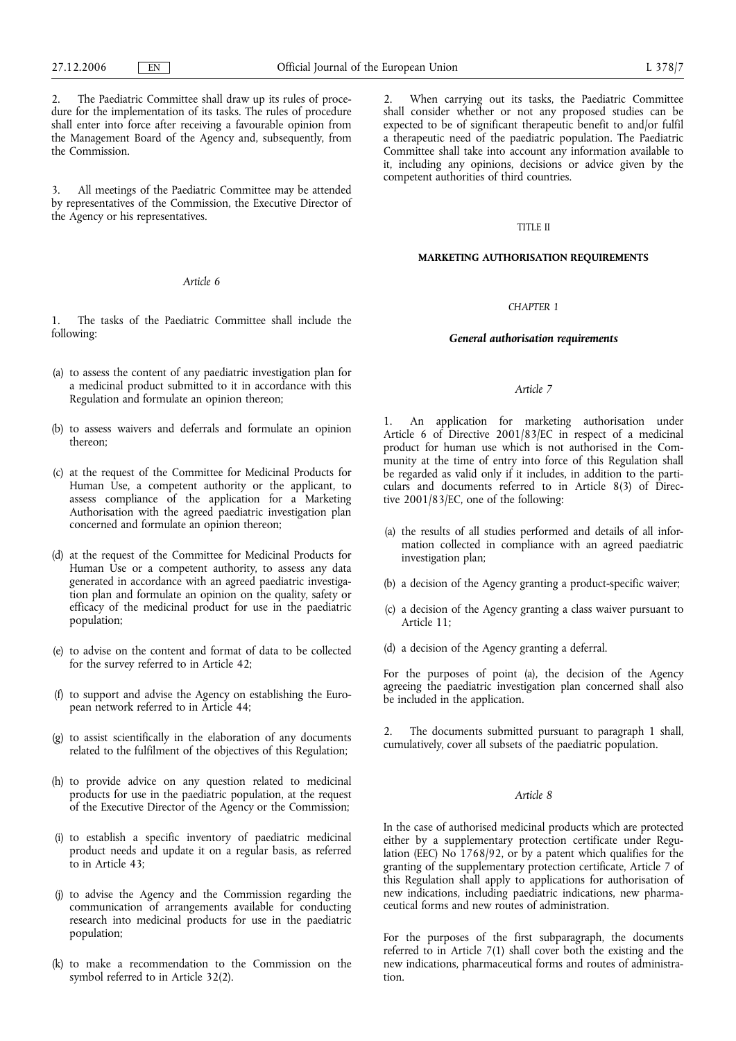2. The Paediatric Committee shall draw up its rules of procedure for the implementation of its tasks. The rules of procedure shall enter into force after receiving a favourable opinion from the Management Board of the Agency and, subsequently, from the Commission.

3. All meetings of the Paediatric Committee may be attended by representatives of the Commission, the Executive Director of the Agency or his representatives.

# *Article 6*

1. The tasks of the Paediatric Committee shall include the following:

- (a) to assess the content of any paediatric investigation plan for a medicinal product submitted to it in accordance with this Regulation and formulate an opinion thereon;
- (b) to assess waivers and deferrals and formulate an opinion thereon;
- (c) at the request of the Committee for Medicinal Products for Human Use, a competent authority or the applicant, to assess compliance of the application for a Marketing Authorisation with the agreed paediatric investigation plan concerned and formulate an opinion thereon;
- (d) at the request of the Committee for Medicinal Products for Human Use or a competent authority, to assess any data generated in accordance with an agreed paediatric investigation plan and formulate an opinion on the quality, safety or efficacy of the medicinal product for use in the paediatric population;
- (e) to advise on the content and format of data to be collected for the survey referred to in Article 42;
- (f) to support and advise the Agency on establishing the European network referred to in Article 44;
- (g) to assist scientifically in the elaboration of any documents related to the fulfilment of the objectives of this Regulation;
- (h) to provide advice on any question related to medicinal products for use in the paediatric population, at the request of the Executive Director of the Agency or the Commission;
- (i) to establish a specific inventory of paediatric medicinal product needs and update it on a regular basis, as referred to in Article 43;
- (j) to advise the Agency and the Commission regarding the communication of arrangements available for conducting research into medicinal products for use in the paediatric population;
- (k) to make a recommendation to the Commission on the symbol referred to in Article 32(2).

2. When carrying out its tasks, the Paediatric Committee shall consider whether or not any proposed studies can be expected to be of significant therapeutic benefit to and/or fulfil a therapeutic need of the paediatric population. The Paediatric Committee shall take into account any information available to it, including any opinions, decisions or advice given by the competent authorities of third countries.

## TITLE II

# **MARKETING AUTHORISATION REQUIREMENTS**

# *CHAPTER 1*

#### *General authorisation requirements*

# *Article 7*

1. An application for marketing authorisation under Article 6 of Directive 2001/83/EC in respect of a medicinal product for human use which is not authorised in the Community at the time of entry into force of this Regulation shall be regarded as valid only if it includes, in addition to the particulars and documents referred to in Article 8(3) of Directive 2001/83/EC, one of the following:

- (a) the results of all studies performed and details of all information collected in compliance with an agreed paediatric investigation plan;
- (b) a decision of the Agency granting a product-specific waiver;
- (c) a decision of the Agency granting a class waiver pursuant to Article 11;
- (d) a decision of the Agency granting a deferral.

For the purposes of point (a), the decision of the Agency agreeing the paediatric investigation plan concerned shall also be included in the application.

2. The documents submitted pursuant to paragraph 1 shall, cumulatively, cover all subsets of the paediatric population.

## *Article 8*

In the case of authorised medicinal products which are protected either by a supplementary protection certificate under Regulation (EEC) No 1768/92, or by a patent which qualifies for the granting of the supplementary protection certificate, Article 7 of this Regulation shall apply to applications for authorisation of new indications, including paediatric indications, new pharmaceutical forms and new routes of administration.

For the purposes of the first subparagraph, the documents referred to in Article 7(1) shall cover both the existing and the new indications, pharmaceutical forms and routes of administration.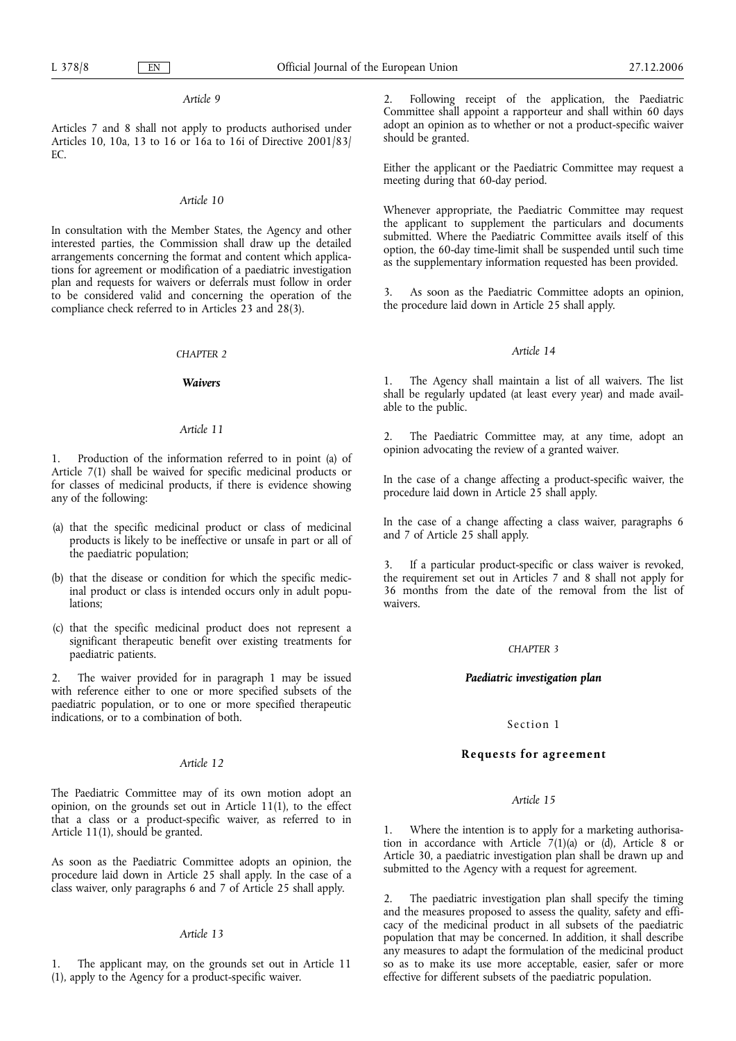#### *Article 9*

Articles 7 and 8 shall not apply to products authorised under Articles 10, 10a, 13 to 16 or 16a to 16i of Directive 2001/83/ EC.

#### *Article 10*

In consultation with the Member States, the Agency and other interested parties, the Commission shall draw up the detailed arrangements concerning the format and content which applications for agreement or modification of a paediatric investigation plan and requests for waivers or deferrals must follow in order to be considered valid and concerning the operation of the compliance check referred to in Articles 23 and 28(3).

#### *CHAPTER 2*

#### *Waivers*

# *Article 11*

1. Production of the information referred to in point (a) of Article 7(1) shall be waived for specific medicinal products or for classes of medicinal products, if there is evidence showing any of the following:

- (a) that the specific medicinal product or class of medicinal products is likely to be ineffective or unsafe in part or all of the paediatric population;
- (b) that the disease or condition for which the specific medicinal product or class is intended occurs only in adult populations;
- (c) that the specific medicinal product does not represent a significant therapeutic benefit over existing treatments for paediatric patients.

2. The waiver provided for in paragraph 1 may be issued with reference either to one or more specified subsets of the paediatric population, or to one or more specified therapeutic indications, or to a combination of both.

## *Article 12*

The Paediatric Committee may of its own motion adopt an opinion, on the grounds set out in Article 11(1), to the effect that a class or a product-specific waiver, as referred to in Article 11(1), should be granted.

As soon as the Paediatric Committee adopts an opinion, the procedure laid down in Article 25 shall apply. In the case of a class waiver, only paragraphs 6 and 7 of Article 25 shall apply.

## *Article 13*

1. The applicant may, on the grounds set out in Article 11 (1), apply to the Agency for a product-specific waiver.

2. Following receipt of the application, the Paediatric Committee shall appoint a rapporteur and shall within 60 days adopt an opinion as to whether or not a product-specific waiver should be granted.

Either the applicant or the Paediatric Committee may request a meeting during that 60-day period.

Whenever appropriate, the Paediatric Committee may request the applicant to supplement the particulars and documents submitted. Where the Paediatric Committee avails itself of this option, the 60-day time-limit shall be suspended until such time as the supplementary information requested has been provided.

3. As soon as the Paediatric Committee adopts an opinion, the procedure laid down in Article 25 shall apply.

## *Article 14*

1. The Agency shall maintain a list of all waivers. The list shall be regularly updated (at least every year) and made available to the public.

The Paediatric Committee may, at any time, adopt an opinion advocating the review of a granted waiver.

In the case of a change affecting a product-specific waiver, the procedure laid down in Article 25 shall apply.

In the case of a change affecting a class waiver, paragraphs 6 and 7 of Article 25 shall apply.

3. If a particular product-specific or class waiver is revoked, the requirement set out in Articles 7 and 8 shall not apply for 36 months from the date of the removal from the list of waivers.

#### *CHAPTER 3*

#### *Paediatric investigation plan*

# Section 1

# **Requests for agreement**

## *Article 15*

1. Where the intention is to apply for a marketing authorisation in accordance with Article  $7(1)(a)$  or (d), Article 8 or Article 30, a paediatric investigation plan shall be drawn up and submitted to the Agency with a request for agreement.

2. The paediatric investigation plan shall specify the timing and the measures proposed to assess the quality, safety and efficacy of the medicinal product in all subsets of the paediatric population that may be concerned. In addition, it shall describe any measures to adapt the formulation of the medicinal product so as to make its use more acceptable, easier, safer or more effective for different subsets of the paediatric population.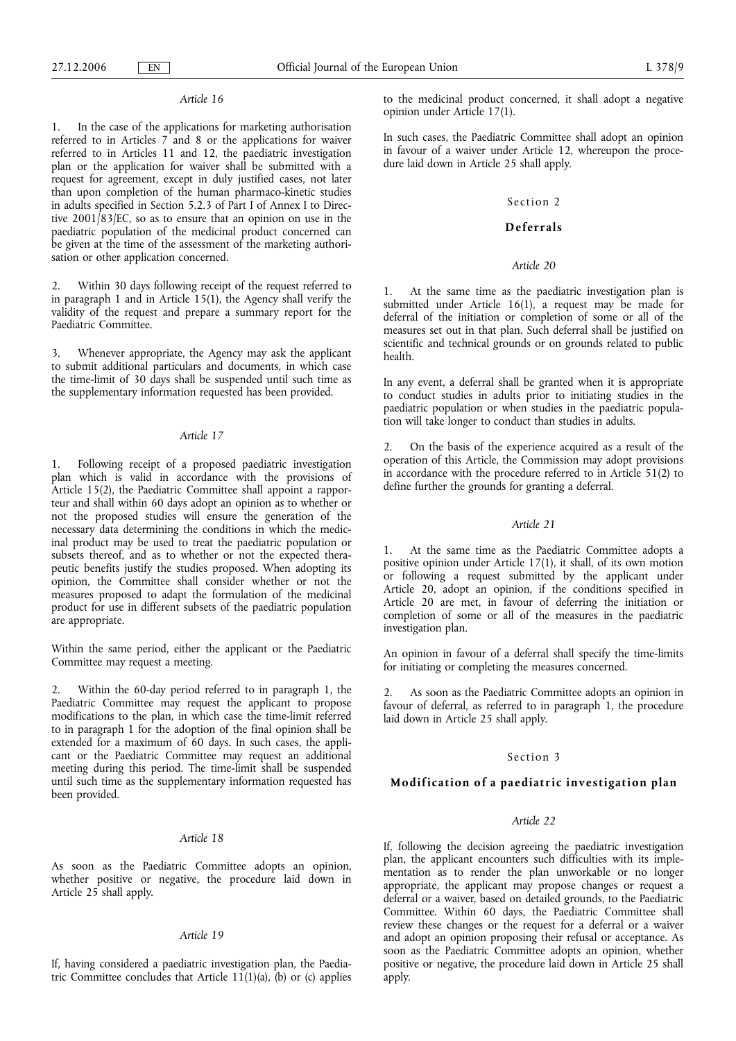# *Article 16*

1. In the case of the applications for marketing authorisation referred to in Articles 7 and 8 or the applications for waiver referred to in Articles 11 and 12, the paediatric investigation plan or the application for waiver shall be submitted with a request for agreement, except in duly justified cases, not later than upon completion of the human pharmaco-kinetic studies in adults specified in Section 5.2.3 of Part I of Annex I to Directive  $2001/83/EC$ , so as to ensure that an opinion on use in the paediatric population of the medicinal product concerned can be given at the time of the assessment of the marketing authorisation or other application concerned.

2. Within 30 days following receipt of the request referred to in paragraph 1 and in Article 15(1), the Agency shall verify the validity of the request and prepare a summary report for the Paediatric Committee.

3. Whenever appropriate, the Agency may ask the applicant to submit additional particulars and documents, in which case the time-limit of 30 days shall be suspended until such time as the supplementary information requested has been provided.

### *Article 17*

1. Following receipt of a proposed paediatric investigation plan which is valid in accordance with the provisions of Article 15(2), the Paediatric Committee shall appoint a rapporteur and shall within 60 days adopt an opinion as to whether or not the proposed studies will ensure the generation of the necessary data determining the conditions in which the medicinal product may be used to treat the paediatric population or subsets thereof, and as to whether or not the expected therapeutic benefits justify the studies proposed. When adopting its opinion, the Committee shall consider whether or not the measures proposed to adapt the formulation of the medicinal product for use in different subsets of the paediatric population are appropriate.

Within the same period, either the applicant or the Paediatric Committee may request a meeting.

2. Within the 60-day period referred to in paragraph 1, the Paediatric Committee may request the applicant to propose modifications to the plan, in which case the time-limit referred to in paragraph 1 for the adoption of the final opinion shall be extended for a maximum of 60 days. In such cases, the applicant or the Paediatric Committee may request an additional meeting during this period. The time-limit shall be suspended until such time as the supplementary information requested has been provided.

### *Article 18*

As soon as the Paediatric Committee adopts an opinion, whether positive or negative, the procedure laid down in Article 25 shall apply.

#### *Article 19*

If, having considered a paediatric investigation plan, the Paediatric Committee concludes that Article  $11(1)(a)$ , (b) or (c) applies to the medicinal product concerned, it shall adopt a negative opinion under Article 17(1).

In such cases, the Paediatric Committee shall adopt an opinion in favour of a waiver under Article 12, whereupon the procedure laid down in Article 25 shall apply.

#### Section 2

### **Deferrals**

# *Article 20*

At the same time as the paediatric investigation plan is submitted under Article 16(1), a request may be made for deferral of the initiation or completion of some or all of the measures set out in that plan. Such deferral shall be justified on scientific and technical grounds or on grounds related to public health.

In any event, a deferral shall be granted when it is appropriate to conduct studies in adults prior to initiating studies in the paediatric population or when studies in the paediatric population will take longer to conduct than studies in adults.

2. On the basis of the experience acquired as a result of the operation of this Article, the Commission may adopt provisions in accordance with the procedure referred to in Article 51(2) to define further the grounds for granting a deferral.

# *Article 21*

1. At the same time as the Paediatric Committee adopts a positive opinion under Article 17(1), it shall, of its own motion or following a request submitted by the applicant under Article 20, adopt an opinion, if the conditions specified in Article 20 are met, in favour of deferring the initiation or completion of some or all of the measures in the paediatric investigation plan.

An opinion in favour of a deferral shall specify the time-limits for initiating or completing the measures concerned.

2. As soon as the Paediatric Committee adopts an opinion in favour of deferral, as referred to in paragraph 1, the procedure laid down in Article 25 shall apply.

# Section 3

## **Modification of a paediatric investigation plan**

## *Article 22*

If, following the decision agreeing the paediatric investigation plan, the applicant encounters such difficulties with its implementation as to render the plan unworkable or no longer appropriate, the applicant may propose changes or request a deferral or a waiver, based on detailed grounds, to the Paediatric Committee. Within 60 days, the Paediatric Committee shall review these changes or the request for a deferral or a waiver and adopt an opinion proposing their refusal or acceptance. As soon as the Paediatric Committee adopts an opinion, whether positive or negative, the procedure laid down in Article 25 shall apply.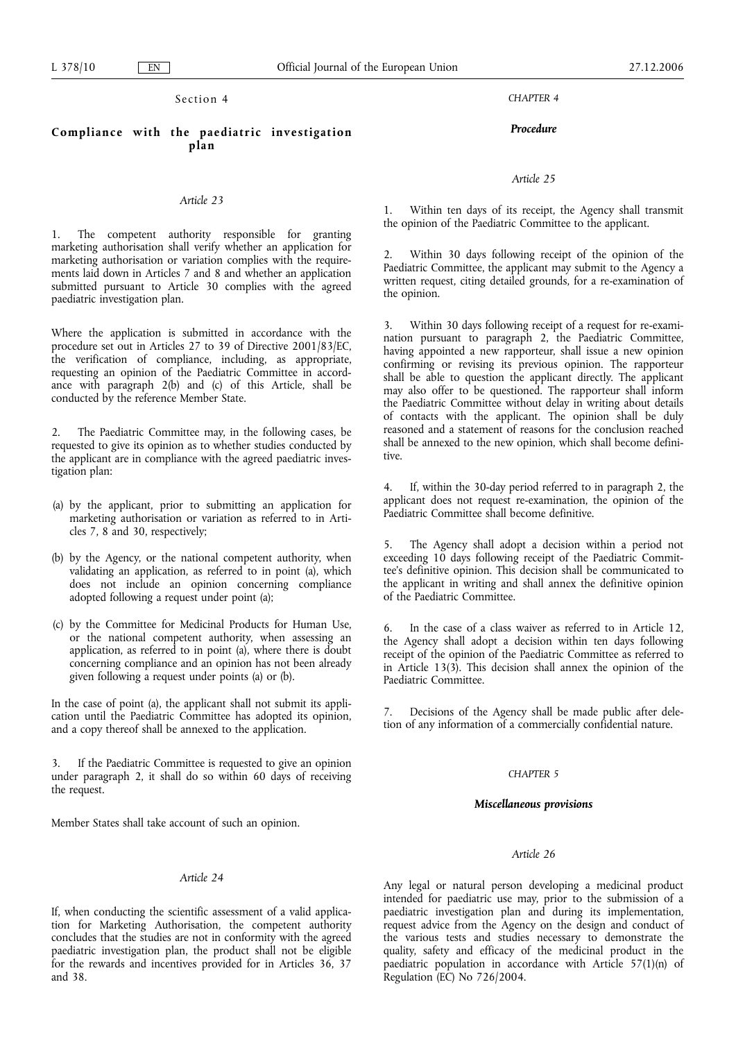Section 4

## **Compliance with the paediatric investigation plan**

## *Article 23*

1. The competent authority responsible for granting marketing authorisation shall verify whether an application for marketing authorisation or variation complies with the requirements laid down in Articles 7 and 8 and whether an application submitted pursuant to Article 30 complies with the agreed paediatric investigation plan.

Where the application is submitted in accordance with the procedure set out in Articles 27 to 39 of Directive 2001/83/EC, the verification of compliance, including, as appropriate, requesting an opinion of the Paediatric Committee in accordance with paragraph 2(b) and (c) of this Article, shall be conducted by the reference Member State.

2. The Paediatric Committee may, in the following cases, be requested to give its opinion as to whether studies conducted by the applicant are in compliance with the agreed paediatric investigation plan:

- (a) by the applicant, prior to submitting an application for marketing authorisation or variation as referred to in Articles 7, 8 and 30, respectively;
- (b) by the Agency, or the national competent authority, when validating an application, as referred to in point (a), which does not include an opinion concerning compliance adopted following a request under point (a);
- (c) by the Committee for Medicinal Products for Human Use, or the national competent authority, when assessing an application, as referred to in point (a), where there is doubt concerning compliance and an opinion has not been already given following a request under points (a) or (b).

In the case of point (a), the applicant shall not submit its application until the Paediatric Committee has adopted its opinion, and a copy thereof shall be annexed to the application.

3. If the Paediatric Committee is requested to give an opinion under paragraph 2, it shall do so within 60 days of receiving the request.

Member States shall take account of such an opinion.

#### *Article 24*

If, when conducting the scientific assessment of a valid application for Marketing Authorisation, the competent authority concludes that the studies are not in conformity with the agreed paediatric investigation plan, the product shall not be eligible for the rewards and incentives provided for in Articles 36, 37 and 38.

*CHAPTER 4*

# *Procedure*

*Article 25*

1. Within ten days of its receipt, the Agency shall transmit the opinion of the Paediatric Committee to the applicant.

Within 30 days following receipt of the opinion of the Paediatric Committee, the applicant may submit to the Agency a written request, citing detailed grounds, for a re-examination of the opinion.

3. Within 30 days following receipt of a request for re-examination pursuant to paragraph 2, the Paediatric Committee, having appointed a new rapporteur, shall issue a new opinion confirming or revising its previous opinion. The rapporteur shall be able to question the applicant directly. The applicant may also offer to be questioned. The rapporteur shall inform the Paediatric Committee without delay in writing about details of contacts with the applicant. The opinion shall be duly reasoned and a statement of reasons for the conclusion reached shall be annexed to the new opinion, which shall become definitive.

4. If, within the 30-day period referred to in paragraph 2, the applicant does not request re-examination, the opinion of the Paediatric Committee shall become definitive.

5. The Agency shall adopt a decision within a period not exceeding 10 days following receipt of the Paediatric Committee's definitive opinion. This decision shall be communicated to the applicant in writing and shall annex the definitive opinion of the Paediatric Committee.

6. In the case of a class waiver as referred to in Article 12, the Agency shall adopt a decision within ten days following receipt of the opinion of the Paediatric Committee as referred to in Article 13(3). This decision shall annex the opinion of the Paediatric Committee.

7. Decisions of the Agency shall be made public after deletion of any information of a commercially confidential nature.

#### *CHAPTER 5*

#### *Miscellaneous provisions*

## *Article 26*

Any legal or natural person developing a medicinal product intended for paediatric use may, prior to the submission of a paediatric investigation plan and during its implementation, request advice from the Agency on the design and conduct of the various tests and studies necessary to demonstrate the quality, safety and efficacy of the medicinal product in the paediatric population in accordance with Article 57(1)(n) of Regulation (EC) No 726/2004.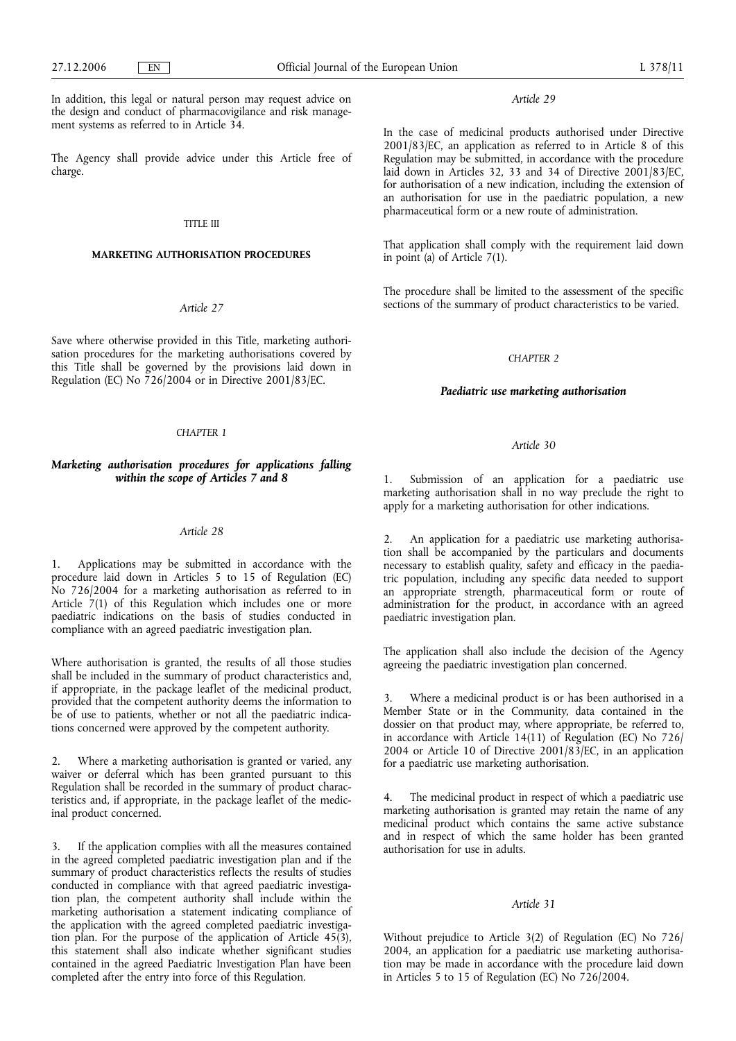In addition, this legal or natural person may request advice on the design and conduct of pharmacovigilance and risk management systems as referred to in Article 34.

The Agency shall provide advice under this Article free of charge.

# TITLE III

## **MARKETING AUTHORISATION PROCEDURES**

#### *Article 27*

Save where otherwise provided in this Title, marketing authorisation procedures for the marketing authorisations covered by this Title shall be governed by the provisions laid down in Regulation (EC) No 726/2004 or in Directive 2001/83/EC.

#### *CHAPTER 1*

# *Marketing authorisation procedures for applications falling within the scope of Articles 7 and 8*

## *Article 28*

1. Applications may be submitted in accordance with the procedure laid down in Articles 5 to 15 of Regulation (EC) No 726/2004 for a marketing authorisation as referred to in Article 7(1) of this Regulation which includes one or more paediatric indications on the basis of studies conducted in compliance with an agreed paediatric investigation plan.

Where authorisation is granted, the results of all those studies shall be included in the summary of product characteristics and, if appropriate, in the package leaflet of the medicinal product, provided that the competent authority deems the information to be of use to patients, whether or not all the paediatric indications concerned were approved by the competent authority.

2. Where a marketing authorisation is granted or varied, any waiver or deferral which has been granted pursuant to this Regulation shall be recorded in the summary of product characteristics and, if appropriate, in the package leaflet of the medicinal product concerned.

3. If the application complies with all the measures contained in the agreed completed paediatric investigation plan and if the summary of product characteristics reflects the results of studies conducted in compliance with that agreed paediatric investigation plan, the competent authority shall include within the marketing authorisation a statement indicating compliance of the application with the agreed completed paediatric investigation plan. For the purpose of the application of Article 45(3), this statement shall also indicate whether significant studies contained in the agreed Paediatric Investigation Plan have been completed after the entry into force of this Regulation.

*Article 29*

In the case of medicinal products authorised under Directive 2001/83/EC, an application as referred to in Article 8 of this Regulation may be submitted, in accordance with the procedure laid down in Articles 32, 33 and 34 of Directive 2001/83/EC, for authorisation of a new indication, including the extension of an authorisation for use in the paediatric population, a new pharmaceutical form or a new route of administration.

That application shall comply with the requirement laid down in point (a) of Article 7(1).

The procedure shall be limited to the assessment of the specific sections of the summary of product characteristics to be varied.

## *CHAPTER 2*

#### *Paediatric use marketing authorisation*

## *Article 30*

1. Submission of an application for a paediatric use marketing authorisation shall in no way preclude the right to apply for a marketing authorisation for other indications.

2. An application for a paediatric use marketing authorisation shall be accompanied by the particulars and documents necessary to establish quality, safety and efficacy in the paediatric population, including any specific data needed to support an appropriate strength, pharmaceutical form or route of administration for the product, in accordance with an agreed paediatric investigation plan.

The application shall also include the decision of the Agency agreeing the paediatric investigation plan concerned.

3. Where a medicinal product is or has been authorised in a Member State or in the Community, data contained in the dossier on that product may, where appropriate, be referred to, in accordance with Article 14(11) of Regulation (EC) No 726/ 2004 or Article 10 of Directive 2001/83/EC, in an application for a paediatric use marketing authorisation.

The medicinal product in respect of which a paediatric use marketing authorisation is granted may retain the name of any medicinal product which contains the same active substance and in respect of which the same holder has been granted authorisation for use in adults.

#### *Article 31*

Without prejudice to Article 3(2) of Regulation (EC) No 726/ 2004, an application for a paediatric use marketing authorisation may be made in accordance with the procedure laid down in Articles 5 to 15 of Regulation (EC) No 726/2004.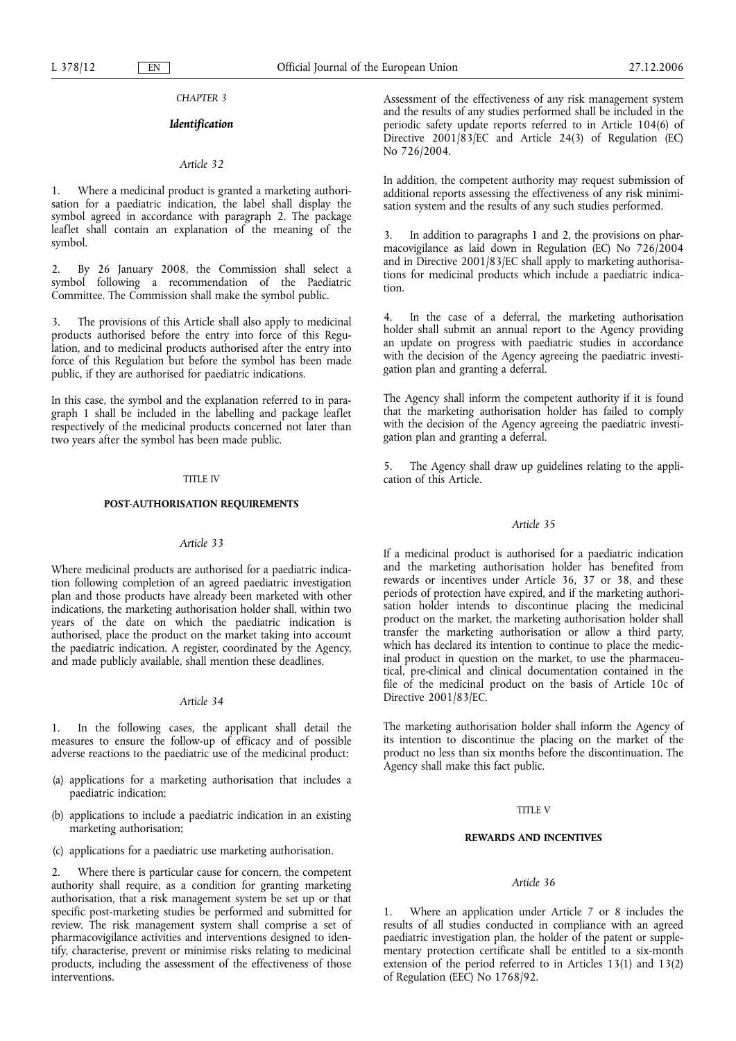#### *CHAPTER 3*

## *Identification*

## *Article 32*

1. Where a medicinal product is granted a marketing authorisation for a paediatric indication, the label shall display the symbol agreed in accordance with paragraph 2. The package leaflet shall contain an explanation of the meaning of the symbol.

2. By 26 January 2008, the Commission shall select a symbol following a recommendation of the Paediatric Committee. The Commission shall make the symbol public.

3. The provisions of this Article shall also apply to medicinal products authorised before the entry into force of this Regulation, and to medicinal products authorised after the entry into force of this Regulation but before the symbol has been made public, if they are authorised for paediatric indications.

In this case, the symbol and the explanation referred to in paragraph 1 shall be included in the labelling and package leaflet respectively of the medicinal products concerned not later than two years after the symbol has been made public.

#### TITLE IV

#### **POST-AUTHORISATION REQUIREMENTS**

#### *Article 33*

Where medicinal products are authorised for a paediatric indication following completion of an agreed paediatric investigation plan and those products have already been marketed with other indications, the marketing authorisation holder shall, within two years of the date on which the paediatric indication is authorised, place the product on the market taking into account the paediatric indication. A register, coordinated by the Agency, and made publicly available, shall mention these deadlines.

#### *Article 34*

1. In the following cases, the applicant shall detail the measures to ensure the follow-up of efficacy and of possible adverse reactions to the paediatric use of the medicinal product:

- (a) applications for a marketing authorisation that includes a paediatric indication;
- (b) applications to include a paediatric indication in an existing marketing authorisation;
- (c) applications for a paediatric use marketing authorisation.

2. Where there is particular cause for concern, the competent authority shall require, as a condition for granting marketing authorisation, that a risk management system be set up or that specific post-marketing studies be performed and submitted for review. The risk management system shall comprise a set of pharmacovigilance activities and interventions designed to identify, characterise, prevent or minimise risks relating to medicinal products, including the assessment of the effectiveness of those interventions.

Assessment of the effectiveness of any risk management system and the results of any studies performed shall be included in the periodic safety update reports referred to in Article 104(6) of Directive 2001/83/EC and Article 24(3) of Regulation (EC) No 726/2004.

In addition, the competent authority may request submission of additional reports assessing the effectiveness of any risk minimisation system and the results of any such studies performed.

3. In addition to paragraphs 1 and 2, the provisions on pharmacovigilance as laid down in Regulation (EC) No 726/2004 and in Directive 2001/83/EC shall apply to marketing authorisations for medicinal products which include a paediatric indication.

4. In the case of a deferral, the marketing authorisation holder shall submit an annual report to the Agency providing an update on progress with paediatric studies in accordance with the decision of the Agency agreeing the paediatric investigation plan and granting a deferral.

The Agency shall inform the competent authority if it is found that the marketing authorisation holder has failed to comply with the decision of the Agency agreeing the paediatric investigation plan and granting a deferral.

5. The Agency shall draw up guidelines relating to the application of this Article.

# *Article 35*

If a medicinal product is authorised for a paediatric indication and the marketing authorisation holder has benefited from rewards or incentives under Article 36, 37 or 38, and these periods of protection have expired, and if the marketing authorisation holder intends to discontinue placing the medicinal product on the market, the marketing authorisation holder shall transfer the marketing authorisation or allow a third party, which has declared its intention to continue to place the medicinal product in question on the market, to use the pharmaceutical, pre-clinical and clinical documentation contained in the file of the medicinal product on the basis of Article 10c of Directive 2001/83/EC.

The marketing authorisation holder shall inform the Agency of its intention to discontinue the placing on the market of the product no less than six months before the discontinuation. The Agency shall make this fact public.

## TITLE V

# **REWARDS AND INCENTIVES**

#### *Article 36*

1. Where an application under Article 7 or 8 includes the results of all studies conducted in compliance with an agreed paediatric investigation plan, the holder of the patent or supplementary protection certificate shall be entitled to a six-month extension of the period referred to in Articles 13(1) and 13(2) of Regulation (EEC) No 1768/92.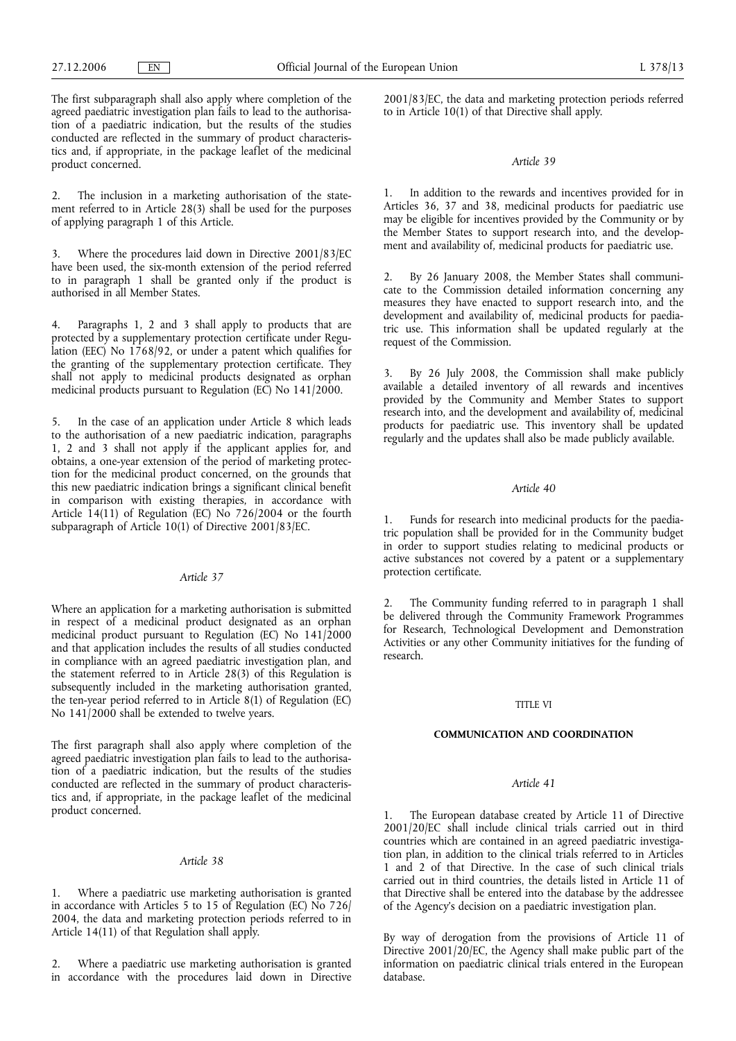The first subparagraph shall also apply where completion of the agreed paediatric investigation plan fails to lead to the authorisation of a paediatric indication, but the results of the studies conducted are reflected in the summary of product characteristics and, if appropriate, in the package leaflet of the medicinal product concerned.

2. The inclusion in a marketing authorisation of the statement referred to in Article 28(3) shall be used for the purposes of applying paragraph 1 of this Article.

3. Where the procedures laid down in Directive 2001/83/EC have been used, the six-month extension of the period referred to in paragraph 1 shall be granted only if the product is authorised in all Member States.

4. Paragraphs 1, 2 and 3 shall apply to products that are protected by a supplementary protection certificate under Regulation (EEC) No  $1768/92$ , or under a patent which qualifies for the granting of the supplementary protection certificate. They shall not apply to medicinal products designated as orphan medicinal products pursuant to Regulation (EC) No 141/2000.

5. In the case of an application under Article 8 which leads to the authorisation of a new paediatric indication, paragraphs 1, 2 and 3 shall not apply if the applicant applies for, and obtains, a one-year extension of the period of marketing protection for the medicinal product concerned, on the grounds that this new paediatric indication brings a significant clinical benefit in comparison with existing therapies, in accordance with Article 14(11) of Regulation (EC) No 726/2004 or the fourth subparagraph of Article 10(1) of Directive 2001/83/EC.

# *Article 37*

Where an application for a marketing authorisation is submitted in respect of a medicinal product designated as an orphan medicinal product pursuant to Regulation (EC) No 141/2000 and that application includes the results of all studies conducted in compliance with an agreed paediatric investigation plan, and the statement referred to in Article 28(3) of this Regulation is subsequently included in the marketing authorisation granted, the ten-year period referred to in Article 8(1) of Regulation (EC) No 141/2000 shall be extended to twelve years.

The first paragraph shall also apply where completion of the agreed paediatric investigation plan fails to lead to the authorisation of a paediatric indication, but the results of the studies conducted are reflected in the summary of product characteristics and, if appropriate, in the package leaflet of the medicinal product concerned.

#### *Article 38*

1. Where a paediatric use marketing authorisation is granted in accordance with Articles 5 to 15 of Regulation (EC) No 726/ 2004, the data and marketing protection periods referred to in Article 14(11) of that Regulation shall apply.

2. Where a paediatric use marketing authorisation is granted in accordance with the procedures laid down in Directive 2001/83/EC, the data and marketing protection periods referred to in Article 10(1) of that Directive shall apply.

#### *Article 39*

1. In addition to the rewards and incentives provided for in Articles 36, 37 and 38, medicinal products for paediatric use may be eligible for incentives provided by the Community or by the Member States to support research into, and the development and availability of, medicinal products for paediatric use.

2. By 26 January 2008, the Member States shall communicate to the Commission detailed information concerning any measures they have enacted to support research into, and the development and availability of, medicinal products for paediatric use. This information shall be updated regularly at the request of the Commission.

3. By 26 July 2008, the Commission shall make publicly available a detailed inventory of all rewards and incentives provided by the Community and Member States to support research into, and the development and availability of, medicinal products for paediatric use. This inventory shall be updated regularly and the updates shall also be made publicly available.

#### *Article 40*

Funds for research into medicinal products for the paediatric population shall be provided for in the Community budget in order to support studies relating to medicinal products or active substances not covered by a patent or a supplementary protection certificate.

The Community funding referred to in paragraph 1 shall be delivered through the Community Framework Programmes for Research, Technological Development and Demonstration Activities or any other Community initiatives for the funding of research.

#### TITLE VI

#### **COMMUNICATION AND COORDINATION**

#### *Article 41*

1. The European database created by Article 11 of Directive 2001/20/EC shall include clinical trials carried out in third countries which are contained in an agreed paediatric investigation plan, in addition to the clinical trials referred to in Articles 1 and 2 of that Directive. In the case of such clinical trials carried out in third countries, the details listed in Article 11 of that Directive shall be entered into the database by the addressee of the Agency's decision on a paediatric investigation plan.

By way of derogation from the provisions of Article 11 of Directive 2001/20/EC, the Agency shall make public part of the information on paediatric clinical trials entered in the European database.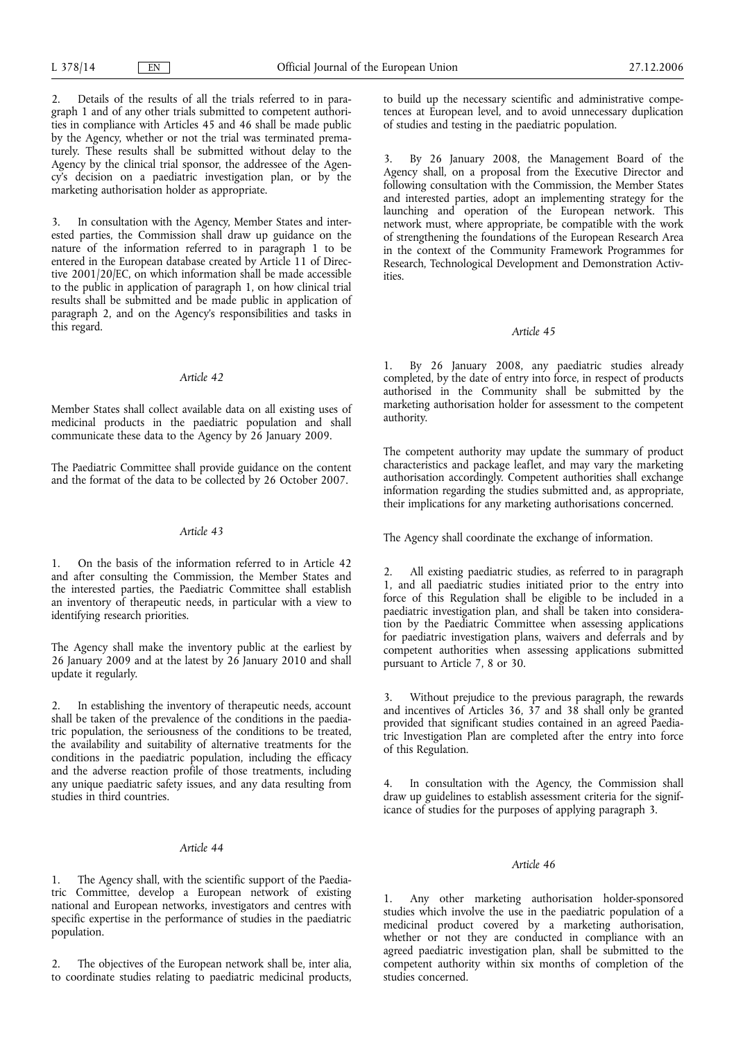2. Details of the results of all the trials referred to in paragraph 1 and of any other trials submitted to competent authorities in compliance with Articles 45 and 46 shall be made public by the Agency, whether or not the trial was terminated prematurely. These results shall be submitted without delay to the Agency by the clinical trial sponsor, the addressee of the Agency's decision on a paediatric investigation plan, or by the marketing authorisation holder as appropriate.

3. In consultation with the Agency, Member States and interested parties, the Commission shall draw up guidance on the nature of the information referred to in paragraph 1 to be entered in the European database created by Article 11 of Directive 2001/20/EC, on which information shall be made accessible to the public in application of paragraph 1, on how clinical trial results shall be submitted and be made public in application of paragraph 2, and on the Agency's responsibilities and tasks in this regard.

#### *Article 42*

Member States shall collect available data on all existing uses of medicinal products in the paediatric population and shall communicate these data to the Agency by 26 January 2009.

The Paediatric Committee shall provide guidance on the content and the format of the data to be collected by 26 October 2007.

## *Article 43*

1. On the basis of the information referred to in Article 42 and after consulting the Commission, the Member States and the interested parties, the Paediatric Committee shall establish an inventory of therapeutic needs, in particular with a view to identifying research priorities.

The Agency shall make the inventory public at the earliest by 26 January 2009 and at the latest by 26 January 2010 and shall update it regularly.

2. In establishing the inventory of therapeutic needs, account shall be taken of the prevalence of the conditions in the paediatric population, the seriousness of the conditions to be treated, the availability and suitability of alternative treatments for the conditions in the paediatric population, including the efficacy and the adverse reaction profile of those treatments, including any unique paediatric safety issues, and any data resulting from studies in third countries.

# *Article 44*

1. The Agency shall, with the scientific support of the Paediatric Committee, develop a European network of existing national and European networks, investigators and centres with specific expertise in the performance of studies in the paediatric population.

2. The objectives of the European network shall be, inter alia, to coordinate studies relating to paediatric medicinal products, to build up the necessary scientific and administrative competences at European level, and to avoid unnecessary duplication of studies and testing in the paediatric population.

3. By 26 January 2008, the Management Board of the Agency shall, on a proposal from the Executive Director and following consultation with the Commission, the Member States and interested parties, adopt an implementing strategy for the launching and operation of the European network. This network must, where appropriate, be compatible with the work of strengthening the foundations of the European Research Area in the context of the Community Framework Programmes for Research, Technological Development and Demonstration Activities.

#### *Article 45*

1. By 26 January 2008, any paediatric studies already completed, by the date of entry into force, in respect of products authorised in the Community shall be submitted by the marketing authorisation holder for assessment to the competent authority.

The competent authority may update the summary of product characteristics and package leaflet, and may vary the marketing authorisation accordingly. Competent authorities shall exchange information regarding the studies submitted and, as appropriate, their implications for any marketing authorisations concerned.

The Agency shall coordinate the exchange of information.

All existing paediatric studies, as referred to in paragraph 1, and all paediatric studies initiated prior to the entry into force of this Regulation shall be eligible to be included in a paediatric investigation plan, and shall be taken into consideration by the Paediatric Committee when assessing applications for paediatric investigation plans, waivers and deferrals and by competent authorities when assessing applications submitted pursuant to Article 7, 8 or 30.

Without prejudice to the previous paragraph, the rewards and incentives of Articles 36, 37 and 38 shall only be granted provided that significant studies contained in an agreed Paediatric Investigation Plan are completed after the entry into force of this Regulation.

In consultation with the Agency, the Commission shall draw up guidelines to establish assessment criteria for the significance of studies for the purposes of applying paragraph 3.

## *Article 46*

1. Any other marketing authorisation holder-sponsored studies which involve the use in the paediatric population of a medicinal product covered by a marketing authorisation, whether or not they are conducted in compliance with an agreed paediatric investigation plan, shall be submitted to the competent authority within six months of completion of the studies concerned.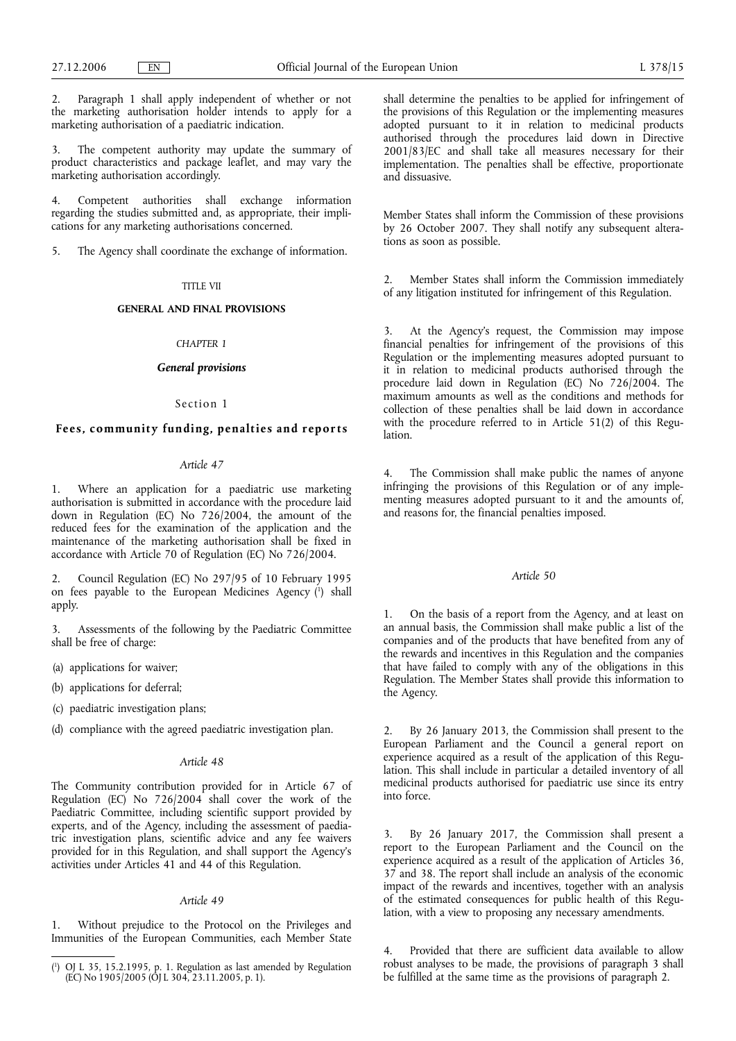2. Paragraph 1 shall apply independent of whether or not the marketing authorisation holder intends to apply for a marketing authorisation of a paediatric indication.

3. The competent authority may update the summary of product characteristics and package leaflet, and may vary the marketing authorisation accordingly.

4. Competent authorities shall exchange information regarding the studies submitted and, as appropriate, their implications for any marketing authorisations concerned.

5. The Agency shall coordinate the exchange of information.

## TITLE VII

## **GENERAL AND FINAL PROVISIONS**

# *CHAPTER 1*

## *General provisions*

## Section 1

# **Fees, community funding, penalties and reports**

### *Article 47*

1. Where an application for a paediatric use marketing authorisation is submitted in accordance with the procedure laid down in Regulation (EC) No 726/2004, the amount of the reduced fees for the examination of the application and the maintenance of the marketing authorisation shall be fixed in accordance with Article 70 of Regulation (EC) No 726/2004.

2. Council Regulation (EC) No 297/95 of 10 February 1995 on fees payable to the European Medicines Agency (1 ) shall apply.

3. Assessments of the following by the Paediatric Committee shall be free of charge:

- (a) applications for waiver;
- (b) applications for deferral;
- (c) paediatric investigation plans;
- (d) compliance with the agreed paediatric investigation plan.

#### *Article 48*

The Community contribution provided for in Article 67 of Regulation (EC) No 726/2004 shall cover the work of the Paediatric Committee, including scientific support provided by experts, and of the Agency, including the assessment of paediatric investigation plans, scientific advice and any fee waivers provided for in this Regulation, and shall support the Agency's activities under Articles 41 and 44 of this Regulation.

#### *Article 49*

1. Without prejudice to the Protocol on the Privileges and Immunities of the European Communities, each Member State shall determine the penalties to be applied for infringement of the provisions of this Regulation or the implementing measures adopted pursuant to it in relation to medicinal products authorised through the procedures laid down in Directive 2001/83/EC and shall take all measures necessary for their implementation. The penalties shall be effective, proportionate and dissuasive.

Member States shall inform the Commission of these provisions by 26 October 2007. They shall notify any subsequent alterations as soon as possible.

2. Member States shall inform the Commission immediately of any litigation instituted for infringement of this Regulation.

3. At the Agency's request, the Commission may impose financial penalties for infringement of the provisions of this Regulation or the implementing measures adopted pursuant to it in relation to medicinal products authorised through the procedure laid down in Regulation (EC) No 726/2004. The maximum amounts as well as the conditions and methods for collection of these penalties shall be laid down in accordance with the procedure referred to in Article 51(2) of this Regulation.

4. The Commission shall make public the names of anyone infringing the provisions of this Regulation or of any implementing measures adopted pursuant to it and the amounts of, and reasons for, the financial penalties imposed.

## *Article 50*

1. On the basis of a report from the Agency, and at least on an annual basis, the Commission shall make public a list of the companies and of the products that have benefited from any of the rewards and incentives in this Regulation and the companies that have failed to comply with any of the obligations in this Regulation. The Member States shall provide this information to the Agency.

2. By 26 January 2013, the Commission shall present to the European Parliament and the Council a general report on experience acquired as a result of the application of this Regulation. This shall include in particular a detailed inventory of all medicinal products authorised for paediatric use since its entry into force.

3. By 26 January 2017, the Commission shall present a report to the European Parliament and the Council on the experience acquired as a result of the application of Articles 36, 37 and 38. The report shall include an analysis of the economic impact of the rewards and incentives, together with an analysis of the estimated consequences for public health of this Regulation, with a view to proposing any necessary amendments.

4. Provided that there are sufficient data available to allow robust analyses to be made, the provisions of paragraph 3 shall be fulfilled at the same time as the provisions of paragraph 2.

<sup>(</sup> 1 ) OJ L 35, 15.2.1995, p. 1. Regulation as last amended by Regulation (EC) No 1905/2005 (OJ L 304, 23.11.2005, p. 1).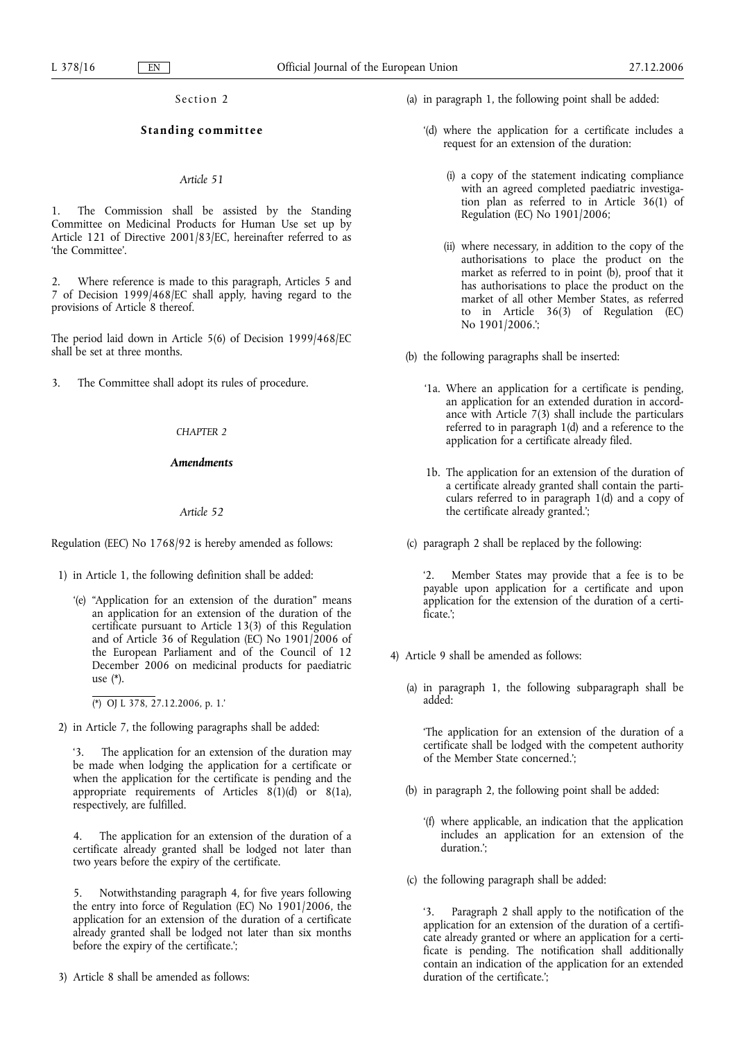#### Section 2

# **Standing committee**

#### *Article 51*

1. The Commission shall be assisted by the Standing Committee on Medicinal Products for Human Use set up by Article 121 of Directive 2001/83/EC, hereinafter referred to as 'the Committee'.

2. Where reference is made to this paragraph, Articles 5 and 7 of Decision 1999/468/EC shall apply, having regard to the provisions of Article 8 thereof.

The period laid down in Article 5(6) of Decision 1999/468/EC shall be set at three months.

3. The Committee shall adopt its rules of procedure.

# *CHAPTER 2*

# *Amendments*

## *Article 52*

Regulation (EEC) No 1768/92 is hereby amended as follows:

- 1) in Article 1, the following definition shall be added:
	- '(e) "Application for an extension of the duration" means an application for an extension of the duration of the certificate pursuant to Article 13(3) of this Regulation and of Article 36 of Regulation (EC) No 1901/2006 of the European Parliament and of the Council of 12 December 2006 on medicinal products for paediatric use (\*).
		- (\*) OJ L 378, 27.12.2006, p. 1.'
- 2) in Article 7, the following paragraphs shall be added:

The application for an extension of the duration may be made when lodging the application for a certificate or when the application for the certificate is pending and the appropriate requirements of Articles  $8(1)(d)$  or  $8(1a)$ , respectively, are fulfilled.

The application for an extension of the duration of a certificate already granted shall be lodged not later than two years before the expiry of the certificate.

5. Notwithstanding paragraph 4, for five years following the entry into force of Regulation (EC) No 1901/2006, the application for an extension of the duration of a certificate already granted shall be lodged not later than six months before the expiry of the certificate.';

3) Article 8 shall be amended as follows:

- (a) in paragraph 1, the following point shall be added:
	- '(d) where the application for a certificate includes a request for an extension of the duration:
		- (i) a copy of the statement indicating compliance with an agreed completed paediatric investigation plan as referred to in Article 36(1) of Regulation (EC) No 1901/2006;
		- (ii) where necessary, in addition to the copy of the authorisations to place the product on the market as referred to in point (b), proof that it has authorisations to place the product on the market of all other Member States, as referred to in Article 36(3) of Regulation (EC) No 1901/2006.';
- (b) the following paragraphs shall be inserted:
	- '1a. Where an application for a certificate is pending, an application for an extended duration in accordance with Article 7(3) shall include the particulars referred to in paragraph 1(d) and a reference to the application for a certificate already filed.
	- 1b. The application for an extension of the duration of a certificate already granted shall contain the particulars referred to in paragraph 1(d) and a copy of the certificate already granted.';
- (c) paragraph 2 shall be replaced by the following:

Member States may provide that a fee is to be payable upon application for a certificate and upon application for the extension of the duration of a certificate.';

- 4) Article 9 shall be amended as follows:
	- (a) in paragraph 1, the following subparagraph shall be added:

'The application for an extension of the duration of a certificate shall be lodged with the competent authority of the Member State concerned.';

- (b) in paragraph 2, the following point shall be added:
	- '(f) where applicable, an indication that the application includes an application for an extension of the duration.';
- (c) the following paragraph shall be added:

Paragraph 2 shall apply to the notification of the application for an extension of the duration of a certificate already granted or where an application for a certificate is pending. The notification shall additionally contain an indication of the application for an extended duration of the certificate.';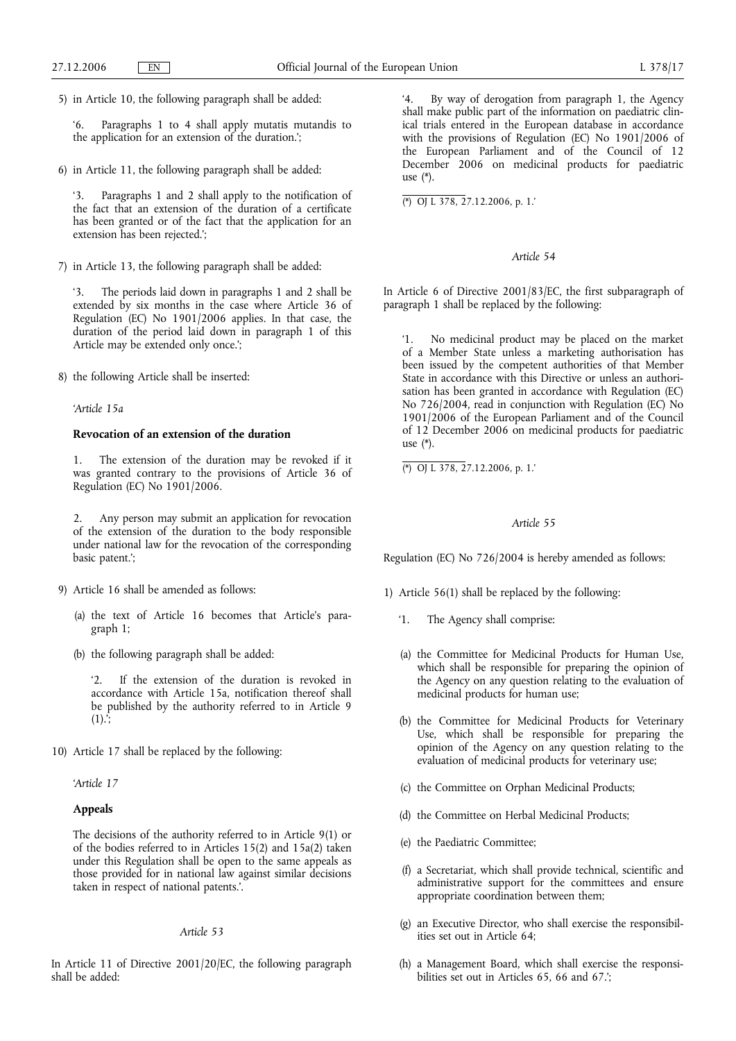5) in Article 10, the following paragraph shall be added:

'6. Paragraphs 1 to 4 shall apply mutatis mutandis to the application for an extension of the duration.';

6) in Article 11, the following paragraph shall be added:

'3. Paragraphs 1 and 2 shall apply to the notification of the fact that an extension of the duration of a certificate has been granted or of the fact that the application for an extension has been rejected.';

7) in Article 13, the following paragraph shall be added:

'3. The periods laid down in paragraphs 1 and 2 shall be extended by six months in the case where Article 36 of Regulation (EC) No 1901/2006 applies. In that case, the duration of the period laid down in paragraph 1 of this Article may be extended only once.';

8) the following Article shall be inserted:

*'Article 15a*

# **Revocation of an extension of the duration**

1. The extension of the duration may be revoked if it was granted contrary to the provisions of Article 36 of Regulation (EC) No 1901/2006.

Any person may submit an application for revocation of the extension of the duration to the body responsible under national law for the revocation of the corresponding basic patent.';

- 9) Article 16 shall be amended as follows:
	- (a) the text of Article 16 becomes that Article's paragraph 1;
	- (b) the following paragraph shall be added:

'2. If the extension of the duration is revoked in accordance with Article 15a, notification thereof shall be published by the authority referred to in Article 9  $(1).$ 

10) Article 17 shall be replaced by the following:

*'Article 17*

# **Appeals**

The decisions of the authority referred to in Article 9(1) or of the bodies referred to in Articles 15(2) and 15a(2) taken under this Regulation shall be open to the same appeals as those provided for in national law against similar decisions taken in respect of national patents.'.

# *Article 53*

In Article 11 of Directive 2001/20/EC, the following paragraph shall be added:

'4. By way of derogation from paragraph 1, the Agency shall make public part of the information on paediatric clinical trials entered in the European database in accordance with the provisions of Regulation (EC) No 1901/2006 of the European Parliament and of the Council of 12 December 2006 on medicinal products for paediatric use (\*).

(\*) OJ L 378, 27.12.2006, p. 1.'

### *Article 54*

In Article 6 of Directive 2001/83/EC, the first subparagraph of paragraph 1 shall be replaced by the following:

No medicinal product may be placed on the market of a Member State unless a marketing authorisation has been issued by the competent authorities of that Member State in accordance with this Directive or unless an authorisation has been granted in accordance with Regulation (EC) No 726/2004, read in conjunction with Regulation (EC) No 1901/2006 of the European Parliament and of the Council of 12 December 2006 on medicinal products for paediatric use (\*).

(\*) OJ L 378, 27.12.2006, p. 1.'

# *Article 55*

Regulation (EC) No 726/2004 is hereby amended as follows:

- 1) Article 56(1) shall be replaced by the following:
	- '1. The Agency shall comprise:
	- (a) the Committee for Medicinal Products for Human Use, which shall be responsible for preparing the opinion of the Agency on any question relating to the evaluation of medicinal products for human use;
	- (b) the Committee for Medicinal Products for Veterinary Use, which shall be responsible for preparing the opinion of the Agency on any question relating to the evaluation of medicinal products for veterinary use;
	- (c) the Committee on Orphan Medicinal Products;
	- (d) the Committee on Herbal Medicinal Products;
	- (e) the Paediatric Committee;
	- (f) a Secretariat, which shall provide technical, scientific and administrative support for the committees and ensure appropriate coordination between them;
	- (g) an Executive Director, who shall exercise the responsibilities set out in Article 64;
	- (h) a Management Board, which shall exercise the responsibilities set out in Articles 65, 66 and 67.';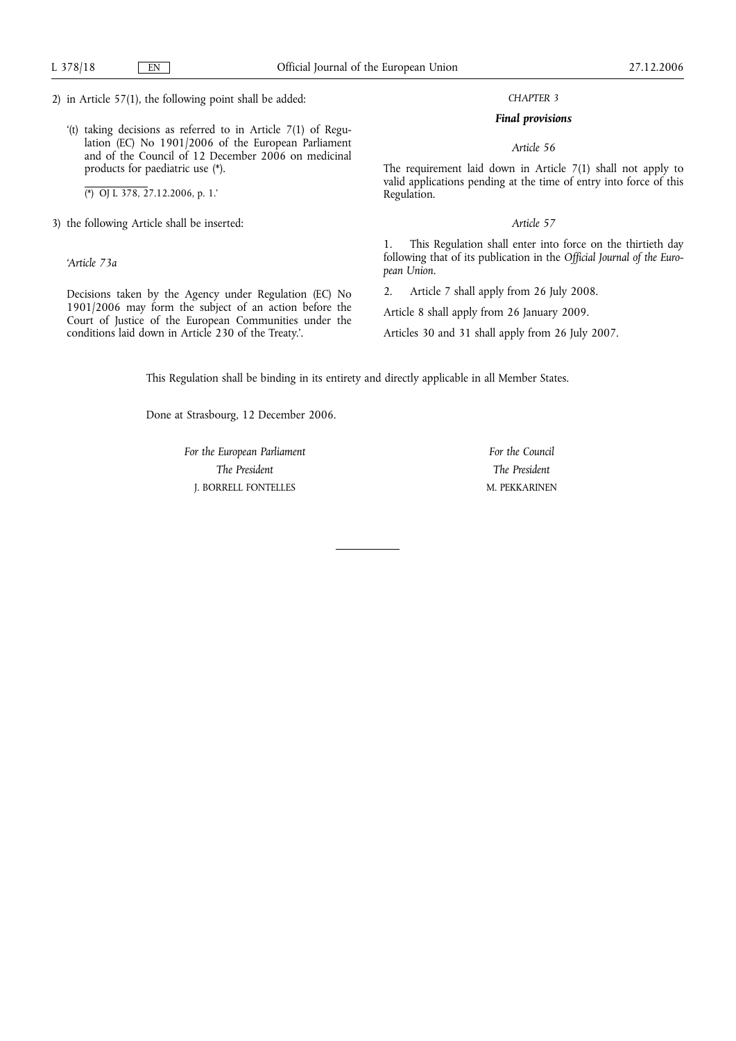*'Article 73a*

2) in Article 57(1), the following point shall be added:

products for paediatric use (\*).

(\*) OJ L 378, 27.12.2006, p. 1.'

3) the following Article shall be inserted:

'(t) taking decisions as referred to in Article 7(1) of Regulation (EC) No 1901/2006 of the European Parliament and of the Council of 12 December 2006 on medicinal

Decisions taken by the Agency under Regulation (EC) No 1901/2006 may form the subject of an action before the Court of Justice of the European Communities under the

conditions laid down in Article 230 of the Treaty.'.

# *CHAPTER 3*

# *Final provisions*

## *Article 56*

The requirement laid down in Article 7(1) shall not apply to valid applications pending at the time of entry into force of this Regulation.

*Article 57*

1. This Regulation shall enter into force on the thirtieth day following that of its publication in the *Official Journal of the European Union*.

2. Article 7 shall apply from 26 July 2008.

Article 8 shall apply from 26 January 2009.

Articles 30 and 31 shall apply from 26 July 2007.

This Regulation shall be binding in its entirety and directly applicable in all Member States.

Done at Strasbourg, 12 December 2006.

*For the European Parliament The President* J. BORRELL FONTELLES

*For the Council The President* M. PEKKARINEN